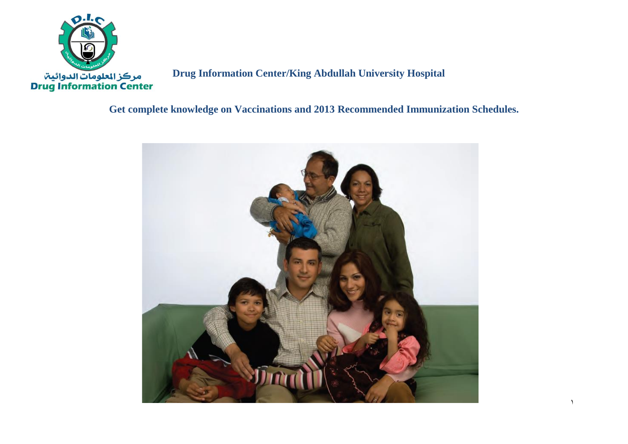

# **Drug Information Center/King Abdullah University Hospital**

**Get complete knowledge on Vaccinations and 2013 Recommended Immunization Schedules.**

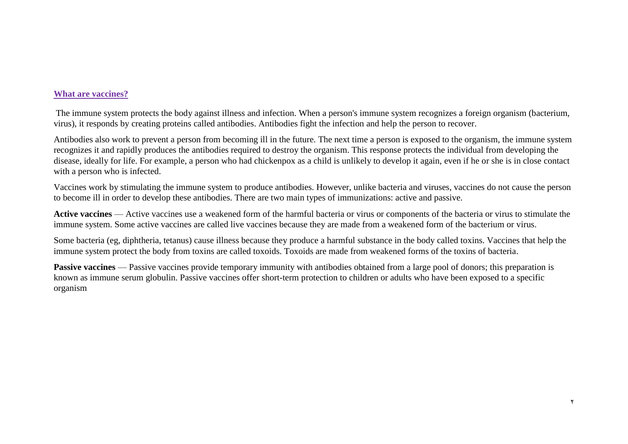### **What are vaccines?**

The immune system protects the body against illness and infection. When a person's immune system recognizes a foreign organism (bacterium, virus), it responds by creating proteins called antibodies. Antibodies fight the infection and help the person to recover.

Antibodies also work to prevent a person from becoming ill in the future. The next time a person is exposed to the organism, the immune system recognizes it and rapidly produces the antibodies required to destroy the organism. This response protects the individual from developing the disease, ideally for life. For example, a person who had chickenpox as a child is unlikely to develop it again, even if he or she is in close contact with a person who is infected.

Vaccines work by stimulating the immune system to produce antibodies. However, unlike bacteria and viruses, vaccines do not cause the person to become ill in order to develop these antibodies. There are two main types of immunizations: active and passive.

**Active vaccines** — Active vaccines use a weakened form of the harmful bacteria or virus or components of the bacteria or virus to stimulate the immune system. Some active vaccines are called live vaccines because they are made from a weakened form of the bacterium or virus.

Some bacteria (eg, diphtheria, tetanus) cause illness because they produce a harmful substance in the body called toxins. Vaccines that help the immune system protect the body from toxins are called toxoids. Toxoids are made from weakened forms of the toxins of bacteria.

**Passive vaccines** — Passive vaccines provide temporary immunity with antibodies obtained from a large pool of donors; this preparation is known as immune serum globulin. Passive vaccines offer short-term protection to children or adults who have been exposed to a specific organism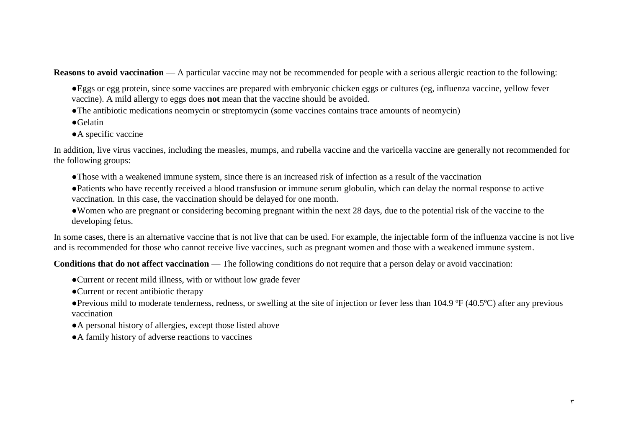**Reasons to avoid vaccination** — A particular vaccine may not be recommended for people with a serious allergic reaction to the following:

●Eggs or egg protein, since some vaccines are prepared with embryonic chicken eggs or cultures (eg, influenza vaccine, [yellow fever](http://www.uptodate.com/contents/yellow-fever-vaccine-patient-drug-information?source=see_link)  [vaccine\)](http://www.uptodate.com/contents/yellow-fever-vaccine-patient-drug-information?source=see_link). A mild allergy to eggs does **not** mean that the vaccine should be avoided.

- ●The antibiotic medications [neomycin](http://www.uptodate.com/contents/neomycin-patient-drug-information?source=see_link) or [streptomycin](http://www.uptodate.com/contents/streptomycin-patient-drug-information?source=see_link) (some vaccines contains trace amounts of neomycin)
- ●Gelatin
- ●A specific vaccine

In addition, live virus vaccines, including the measles, mumps, and rubella vaccine and the [varicella vaccine](http://www.uptodate.com/contents/varicella-virus-vaccine-patient-drug-information?source=see_link) are generally not recommended for the following groups:

●Those with a weakened immune system, since there is an increased risk of infection as a result of the vaccination

●Patients who have recently received a blood transfusion or immune serum globulin, which can delay the normal response to active vaccination. In this case, the vaccination should be delayed for one month.

●Women who are pregnant or considering becoming pregnant within the next 28 days, due to the potential risk of the vaccine to the developing fetus.

In some cases, there is an alternative vaccine that is not live that can be used. For example, the injectable form of the influenza vaccine is not live and is recommended for those who cannot receive live vaccines, such as pregnant women and those with a weakened immune system.

**Conditions that do not affect vaccination** — The following conditions do not require that a person delay or avoid vaccination:

- ●Current or recent mild illness, with or without low grade fever
- ●Current or recent antibiotic therapy

●Previous mild to moderate tenderness, redness, or swelling at the site of injection or fever less than 104.9 ºF (40.5ºC) after any previous vaccination

- ●A personal history of allergies, except those listed above
- ●A family history of adverse reactions to vaccines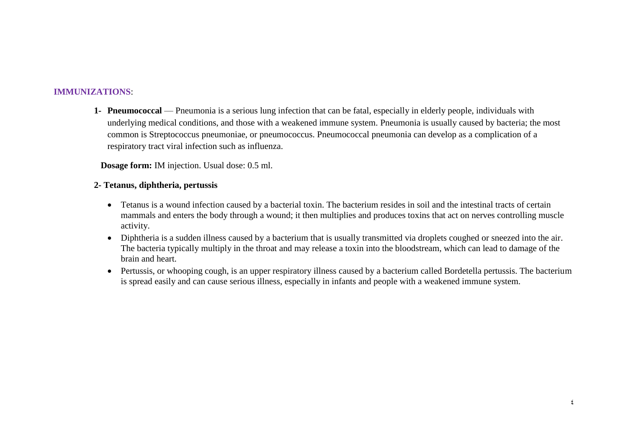### **IMMUNIZATIONS**:

**1- Pneumococcal** — Pneumonia is a serious lung infection that can be fatal, especially in elderly people, individuals with underlying medical conditions, and those with a weakened immune system. Pneumonia is usually caused by bacteria; the most common is Streptococcus pneumoniae, or pneumococcus. Pneumococcal pneumonia can develop as a complication of a respiratory tract viral infection such as influenza.

 **Dosage form:** IM injection. Usual dose: 0.5 ml.

#### **2- Tetanus, diphtheria, pertussis**

- Tetanus is a wound infection caused by a bacterial toxin. The bacterium resides in soil and the intestinal tracts of certain mammals and enters the body through a wound; it then multiplies and produces toxins that act on nerves controlling muscle activity.
- Diphtheria is a sudden illness caused by a bacterium that is usually transmitted via droplets coughed or sneezed into the air. The bacteria typically multiply in the throat and may release a toxin into the bloodstream, which can lead to damage of the brain and heart.
- Pertussis, or whooping cough, is an upper respiratory illness caused by a bacterium called Bordetella pertussis. The bacterium is spread easily and can cause serious illness, especially in infants and people with a weakened immune system.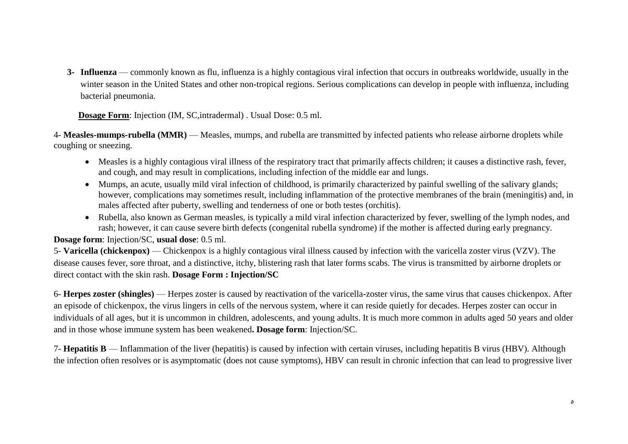**3- Influenza** — commonly known as flu, influenza is a highly contagious viral infection that occurs in outbreaks worldwide, usually in the winter season in the United States and other non-tropical regions. Serious complications can develop in people with influenza, including bacterial pneumonia.

**Dosage Form**: Injection (IM, SC,intradermal) . Usual Dose: 0.5 ml.

4- **Measles-mumps-rubella (MMR)** — Measles, mumps, and rubella are transmitted by infected patients who release airborne droplets while coughing or sneezing.

- Measles is a highly contagious viral illness of the respiratory tract that primarily affects children; it causes a distinctive rash, fever, and cough, and may result in complications, including infection of the middle ear and lungs.
- Mumps, an acute, usually mild viral infection of childhood, is primarily characterized by painful swelling of the salivary glands; however, complications may sometimes result, including inflammation of the protective membranes of the brain (meningitis) and, in males affected after puberty, swelling and tenderness of one or both testes (orchitis).
- Rubella, also known as German measles, is typically a mild viral infection characterized by fever, swelling of the lymph nodes, and rash; however, it can cause severe birth defects (congenital rubella syndrome) if the mother is affected during early pregnancy.

**Dosage form**: Injection/SC, **usual dose**: 0.5 ml.

5- **Varicella (chickenpox)** — Chickenpox is a highly contagious viral illness caused by infection with the varicella zoster virus (VZV). The disease causes fever, sore throat, and a distinctive, itchy, blistering rash that later forms scabs. The virus is transmitted by airborne droplets or direct contact with the skin rash. **Dosage Form : Injection/SC**

6- **Herpes zoster (shingles)** — Herpes zoster is caused by reactivation of the varicella-zoster virus, the same virus that causes chickenpox. After an episode of chickenpox, the virus lingers in cells of the nervous system, where it can reside quietly for decades. Herpes zoster can occur in individuals of all ages, but it is uncommon in children, adolescents, and young adults. It is much more common in adults aged 50 years and older and in those whose immune system has been weakened**. Dosage form**: Injection/SC.

7- **Hepatitis B** — Inflammation of the liver (hepatitis) is caused by infection with certain viruses, including hepatitis B virus (HBV). Although the infection often resolves or is asymptomatic (does not cause symptoms), HBV can result in chronic infection that can lead to progressive liver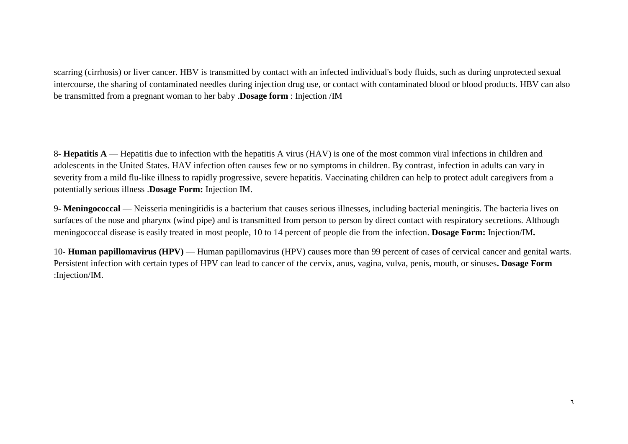scarring (cirrhosis) or liver cancer. HBV is transmitted by contact with an infected individual's body fluids, such as during unprotected sexual intercourse, the sharing of contaminated needles during injection drug use, or contact with contaminated blood or blood products. HBV can also be transmitted from a pregnant woman to her baby .**Dosage form** : Injection /IM

8- **Hepatitis A** — Hepatitis due to infection with the hepatitis A virus (HAV) is one of the most common viral infections in children and adolescents in the United States. HAV infection often causes few or no symptoms in children. By contrast, infection in adults can vary in severity from a mild flu-like illness to rapidly progressive, severe hepatitis. Vaccinating children can help to protect adult caregivers from a potentially serious illness .**Dosage Form:** Injection IM.

9- **Meningococcal** — Neisseria meningitidis is a bacterium that causes serious illnesses, including bacterial meningitis. The bacteria lives on surfaces of the nose and pharynx (wind pipe) and is transmitted from person to person by direct contact with respiratory secretions. Although meningococcal disease is easily treated in most people, 10 to 14 percent of people die from the infection. **Dosage Form:** Injection/IM**.**

10- **Human papillomavirus (HPV)** — Human papillomavirus (HPV) causes more than 99 percent of cases of cervical cancer and genital warts. Persistent infection with certain types of HPV can lead to cancer of the cervix, anus, vagina, vulva, penis, mouth, or sinuses**. Dosage Form** :Injection/IM.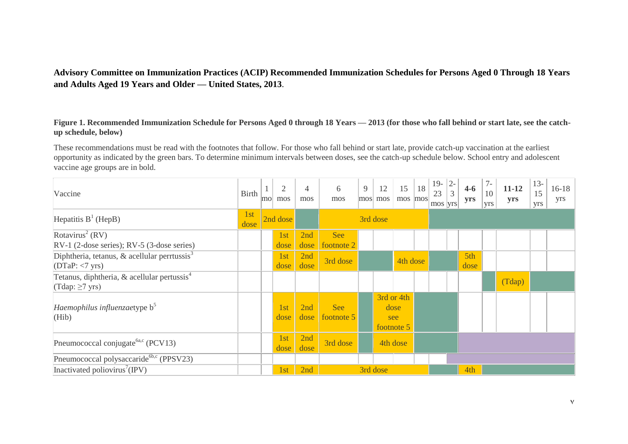### **Advisory Committee on Immunization Practices (ACIP) Recommended Immunization Schedules for Persons Aged 0 Through 18 Years and Adults Aged 19 Years and Older — United States, 2013**.

### **Figure 1. Recommended Immunization Schedule for Persons Aged 0 through 18 Years — 2013 (for those who fall behind or start late, see the catchup schedule, below)**

These recommendations must be read with the footnotes that follow. For those who fall behind or start late, provide catch-up vaccination at the earliest opportunity as indicated by the green bars. To determine minimum intervals between doses, see the catch-up schedule below. School entry and adolescent vaccine age groups are in bold.

| Vaccine                                                                         | <b>Birth</b>            | mo | $\overline{2}$<br>mos | 4<br>mos    | 6<br>mos                 | 9 | 12<br>mos mos | 15<br>mos mos            | 18  | $19-$<br>23<br>mos yrs | $2 -$<br>$\overline{3}$ | $4 - 6$<br>yrs | $7-$<br>10<br>yrs | $11 - 12$<br>yrs | $13-$<br>15<br><b>Vrs</b> | $16 - 18$<br>yrs |
|---------------------------------------------------------------------------------|-------------------------|----|-----------------------|-------------|--------------------------|---|---------------|--------------------------|-----|------------------------|-------------------------|----------------|-------------------|------------------|---------------------------|------------------|
| Hepatitis $B^1$ (HepB)                                                          | 1 <sub>st</sub><br>dose |    | 2nd dose              |             |                          |   | 3rd dose      |                          |     |                        |                         |                |                   |                  |                           |                  |
| Rotavirus <sup>2</sup> (RV)                                                     |                         |    | 1st                   | 2nd         | <b>See</b>               |   |               |                          |     |                        |                         |                |                   |                  |                           |                  |
| RV-1 (2-dose series); RV-5 (3-dose series)                                      |                         |    | dose                  | dose        | footnote 2               |   |               |                          |     |                        |                         |                |                   |                  |                           |                  |
| Diphtheria, tetanus, & acellular perrtussis $3$<br>$(DTaP: < 7 \text{ yrs})$    |                         |    | 1st<br>dose           | 2nd<br>dose | 3rd dose                 |   |               | 4th dose                 |     |                        |                         | 5th<br>dose    |                   |                  |                           |                  |
| Tetanus, diphtheria, & acellular pertussis <sup>4</sup><br>(Tdap: $\geq$ 7 yrs) |                         |    |                       |             |                          |   |               |                          |     |                        |                         |                |                   | (Tdap)           |                           |                  |
| <i>Haemophilus influenzaetype</i> $b^5$<br>(Hib)                                |                         |    | 1st<br>dose           | 2nd<br>dose | <b>See</b><br>footnote 5 |   | dose<br>see   | 3rd or 4th<br>footnote 5 |     |                        |                         |                |                   |                  |                           |                  |
| Pneumococcal conjugate <sup>6a,c</sup> (PCV13)                                  |                         |    | 1st<br>dose           | 2nd<br>dose | 3rd dose                 |   | 4th dose      |                          |     |                        |                         |                |                   |                  |                           |                  |
| Pneumococcal polysaccaride <sup>6b,c</sup> (PPSV23)                             |                         |    |                       |             |                          |   |               |                          |     |                        |                         |                |                   |                  |                           |                  |
| Inactivated poliovirus <sup>7</sup> (IPV)                                       |                         |    | l st                  | 2nd         | 3rd dose                 |   |               |                          | 4th |                        |                         |                |                   |                  |                           |                  |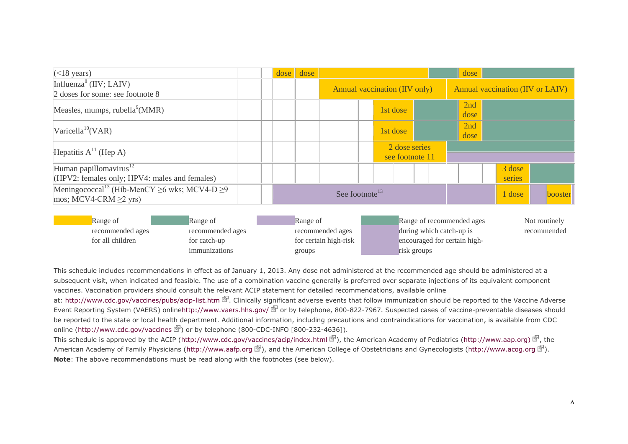| (<18 years)                                                                                         |  | dose dose |                                      |  |                                  |                               |         | dose                             |  |                  |  |
|-----------------------------------------------------------------------------------------------------|--|-----------|--------------------------------------|--|----------------------------------|-------------------------------|---------|----------------------------------|--|------------------|--|
| Influenza <sup>8</sup> (IIV; LAIV)<br>2 doses for some: see footnote 8                              |  |           |                                      |  |                                  | Annual vaccination (IIV only) |         | Annual vaccination (IIV or LAIV) |  |                  |  |
| Measles, mumps, rubella <sup>9</sup> (MMR)                                                          |  |           |                                      |  | 1st dose                         |                               |         | 2nd<br>dose                      |  |                  |  |
| Varicella <sup>10</sup> (VAR)                                                                       |  |           |                                      |  | 1st dose                         |                               |         | 2nd<br>dose                      |  |                  |  |
| Hepatitis $A^{11}$ (Hep A)                                                                          |  |           |                                      |  | 2 dose series<br>see footnote 11 |                               |         |                                  |  |                  |  |
| Human papillomavirus <sup>12</sup><br>(HPV2: females only; HPV4: males and females)                 |  |           |                                      |  |                                  |                               |         |                                  |  | 3 dose<br>series |  |
| Meningococcal <sup>13</sup> (Hib-MenCY $\geq 6$ wks; MCV4-D $\geq 9$<br>mos; MCV4-CRM $\geq$ 2 yrs) |  |           | See footnote <sup>13</sup><br>l dose |  |                                  |                               | booster |                                  |  |                  |  |

| Range of         | <b>Range of</b>  | Range of              | <b>Range of recommended ages</b> | Not routinely |
|------------------|------------------|-----------------------|----------------------------------|---------------|
| recommended ages | recommended ages | recommended ages      | during which catch-up is         | recommended   |
| for all children | for catch-up     | for certain high-risk | encouraged for certain high-     |               |
|                  | immunizations    | groups                | risk groups                      |               |

This schedule includes recommendations in effect as of January 1, 2013. Any dose not administered at the recommended age should be administered at a subsequent visit, when indicated and feasible. The use of a combination vaccine generally is preferred over separate injections of its equivalent component vaccines. Vaccination providers should consult the relevant ACIP statement for detailed recommendations, available online

at: <http://www.cdc.gov/vaccines/pubs/acip-list.htm>  $\bar{\mathbb{F}}$ . Clinically significant adverse events that follow immunization should be reported to the Vaccine Adverse Event Reporting System (VAERS) onlin[ehttp://www.vaers.hhs.gov/](http://vaers.hhs.gov/index) @ or by telephone, 800-822-7967. Suspected cases of vaccine-preventable diseases should be reported to the state or local health department. Additional information, including precautions and contraindications for vaccination, is available from CDC online [\(http://www.cdc.gov/vaccines](http://www.cdc.gov/vaccines)  $\mathbb{\bar{B}}$ ) or by telephone (800-CDC-INFO [800-232-4636]).

This schedule is approved by the ACIP [\(http://www.cdc.gov/vaccines/acip/index.html](http://www.cdc.gov/vaccines/acip/index.html)  $\mathbb{F}$ ), the American Academy of Pediatrics [\(http://www.aap.org\)](http://www.guideline.gov/disclaimer.aspx?redirect=http://www.aap.org)  $\mathbb{F}$ , the American Academy of Family Physicians [\(http://www.aafp.org](http://www.guideline.gov/disclaimer.aspx?redirect=http://www.aafp.org/online/en/home.html)  $\bar{x}$ ), and the American College of Obstetricians and Gynecologists [\(http://www.acog.org](http://www.guideline.gov/disclaimer.aspx?redirect=http://www.acog.org/)  $\bar{x}$ ). **Note**: The above recommendations must be read along with the footnotes (see below).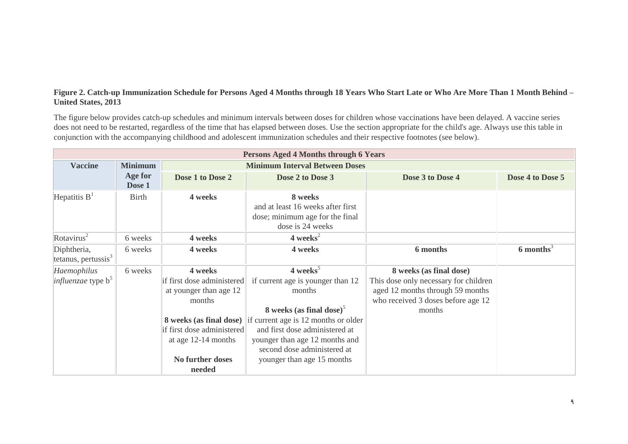#### **Figure 2. Catch-up Immunization Schedule for Persons Aged 4 Months through 18 Years Who Start Late or Who Are More Than 1 Month Behind – United States, 2013**

The figure below provides catch-up schedules and minimum intervals between doses for children whose vaccinations have been delayed. A vaccine series does not need to be restarted, regardless of the time that has elapsed between doses. Use the section appropriate for the child's age. Always use this table in conjunction with the accompanying childhood and adolescent immunization schedules and their respective footnotes (see below).

| <b>Persons Aged 4 Months through 6 Years</b>         |                   |                                                                                                                                                              |                                                                                                                                                                                                                                                                                                           |                                                                                                                                                      |                         |  |  |  |  |
|------------------------------------------------------|-------------------|--------------------------------------------------------------------------------------------------------------------------------------------------------------|-----------------------------------------------------------------------------------------------------------------------------------------------------------------------------------------------------------------------------------------------------------------------------------------------------------|------------------------------------------------------------------------------------------------------------------------------------------------------|-------------------------|--|--|--|--|
| <b>Vaccine</b>                                       | <b>Minimum</b>    |                                                                                                                                                              | <b>Minimum Interval Between Doses</b>                                                                                                                                                                                                                                                                     |                                                                                                                                                      |                         |  |  |  |  |
|                                                      | Age for<br>Dose 1 | Dose 1 to Dose 2                                                                                                                                             | Dose 2 to Dose 3                                                                                                                                                                                                                                                                                          | Dose 3 to Dose 4                                                                                                                                     | Dose 4 to Dose 5        |  |  |  |  |
| Hepatitis $B1$                                       | <b>Birth</b>      | 4 weeks                                                                                                                                                      | 8 weeks<br>and at least 16 weeks after first<br>dose; minimum age for the final<br>dose is 24 weeks                                                                                                                                                                                                       |                                                                                                                                                      |                         |  |  |  |  |
| Rotavirus <sup>2</sup>                               | 6 weeks           | 4 weeks                                                                                                                                                      | $4 \text{ weeks}^2$                                                                                                                                                                                                                                                                                       |                                                                                                                                                      |                         |  |  |  |  |
| Diphtheria,<br>tetanus, pertussis <sup>3</sup>       | 6 weeks           | 4 weeks                                                                                                                                                      | 4 weeks                                                                                                                                                                                                                                                                                                   | 6 months                                                                                                                                             | $6$ months <sup>3</sup> |  |  |  |  |
| Haemophilus<br><i>influenzae</i> type b <sup>5</sup> | 6 weeks           | 4 weeks<br>if first dose administered<br>at younger than age 12<br>months<br>if first dose administered<br>at age 12-14 months<br>No further doses<br>needed | $4 \text{ weeks}^5$<br>if current age is younger than 12<br>months<br>8 weeks (as final dose) $5$<br><b>8</b> weeks (as final dose) if current age is 12 months or older<br>and first dose administered at<br>younger than age 12 months and<br>second dose administered at<br>younger than age 15 months | 8 weeks (as final dose)<br>This dose only necessary for children<br>aged 12 months through 59 months<br>who received 3 doses before age 12<br>months |                         |  |  |  |  |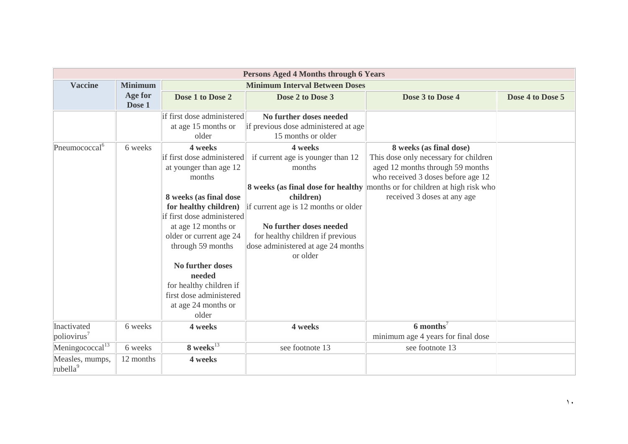| <b>Persons Aged 4 Months through 6 Years</b> |                   |                                                                                                                                                                                                                                                                                                                                                                                                            |                                                                                                                                                                                                                                                                                                                       |                                                                                                                                                                                                                                                         |                  |  |  |  |
|----------------------------------------------|-------------------|------------------------------------------------------------------------------------------------------------------------------------------------------------------------------------------------------------------------------------------------------------------------------------------------------------------------------------------------------------------------------------------------------------|-----------------------------------------------------------------------------------------------------------------------------------------------------------------------------------------------------------------------------------------------------------------------------------------------------------------------|---------------------------------------------------------------------------------------------------------------------------------------------------------------------------------------------------------------------------------------------------------|------------------|--|--|--|
| <b>Vaccine</b>                               | <b>Minimum</b>    |                                                                                                                                                                                                                                                                                                                                                                                                            | <b>Minimum Interval Between Doses</b>                                                                                                                                                                                                                                                                                 |                                                                                                                                                                                                                                                         |                  |  |  |  |
|                                              | Age for<br>Dose 1 | Dose 1 to Dose 2                                                                                                                                                                                                                                                                                                                                                                                           | Dose 2 to Dose 3                                                                                                                                                                                                                                                                                                      | Dose 3 to Dose 4                                                                                                                                                                                                                                        | Dose 4 to Dose 5 |  |  |  |
| Pneumococcal <sup>6</sup>                    | 6 weeks           | if first dose administered<br>at age 15 months or<br>older<br>4 weeks<br>if first dose administered<br>at younger than age 12<br>months<br>8 weeks (as final dose<br>for healthy children)<br>if first dose administered<br>at age 12 months or<br>older or current age 24<br>through 59 months<br>No further doses<br>needed<br>for healthy children if<br>first dose administered<br>at age 24 months or | No further doses needed<br>if previous dose administered at age<br>15 months or older<br>4 weeks<br>if current age is younger than 12<br>months<br>children)<br>if current age is 12 months or older<br>No further doses needed<br>for healthy children if previous<br>dose administered at age 24 months<br>or older | 8 weeks (as final dose)<br>This dose only necessary for children<br>aged 12 months through 59 months<br>who received 3 doses before age 12<br>8 weeks (as final dose for healthy months or for children at high risk who<br>received 3 doses at any age |                  |  |  |  |
| Inactivated<br>poliovirus <sup>7</sup>       | 6 weeks           | older<br>4 weeks                                                                                                                                                                                                                                                                                                                                                                                           | 4 weeks                                                                                                                                                                                                                                                                                                               | $6$ months <sup>7</sup><br>minimum age 4 years for final dose                                                                                                                                                                                           |                  |  |  |  |
| Meningococcal $13$                           | 6 weeks           | 8 weeks $\overline{s^{13}}$                                                                                                                                                                                                                                                                                                                                                                                | see footnote 13                                                                                                                                                                                                                                                                                                       | see footnote 13                                                                                                                                                                                                                                         |                  |  |  |  |
| Measles, mumps,<br>rubella <sup>9</sup>      | 12 months         | 4 weeks                                                                                                                                                                                                                                                                                                                                                                                                    |                                                                                                                                                                                                                                                                                                                       |                                                                                                                                                                                                                                                         |                  |  |  |  |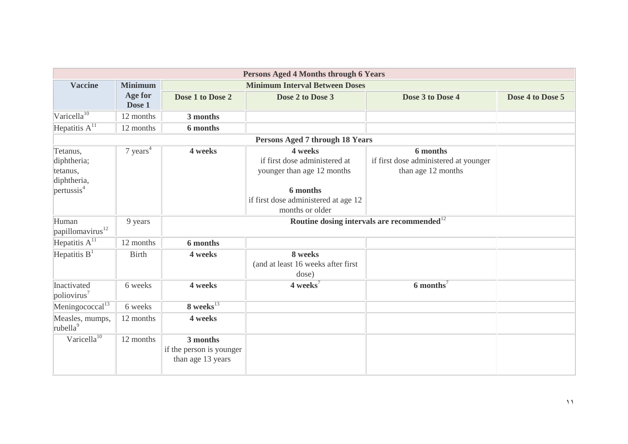| <b>Persons Aged 4 Months through 6 Years</b>                                 |                                        |                                                           |                                                                                                                                               |                                                                         |                  |  |  |  |  |
|------------------------------------------------------------------------------|----------------------------------------|-----------------------------------------------------------|-----------------------------------------------------------------------------------------------------------------------------------------------|-------------------------------------------------------------------------|------------------|--|--|--|--|
| <b>Vaccine</b>                                                               | <b>Minimum</b>                         |                                                           | <b>Minimum Interval Between Doses</b>                                                                                                         |                                                                         |                  |  |  |  |  |
|                                                                              | Age for<br>Dose 1                      | Dose 1 to Dose 2                                          | Dose 2 to Dose 3                                                                                                                              | Dose 3 to Dose 4                                                        | Dose 4 to Dose 5 |  |  |  |  |
| $Varicella^{10}$                                                             | 12 months                              | 3 months                                                  |                                                                                                                                               |                                                                         |                  |  |  |  |  |
| Hepatitis $A^{11}$                                                           | 12 months                              | 6 months                                                  |                                                                                                                                               |                                                                         |                  |  |  |  |  |
|                                                                              | <b>Persons Aged 7 through 18 Years</b> |                                                           |                                                                                                                                               |                                                                         |                  |  |  |  |  |
| Tetanus,<br>diphtheria;<br>tetanus,<br>diphtheria,<br>pertussis <sup>4</sup> | $7 \text{ years}^4$                    | 4 weeks                                                   | 4 weeks<br>if first dose administered at<br>younger than age 12 months<br>6 months<br>if first dose administered at age 12<br>months or older | 6 months<br>if first dose administered at younger<br>than age 12 months |                  |  |  |  |  |
| Human<br>papillomavirus <sup>12</sup>                                        | 9 years                                | Routine dosing intervals are recommended <sup>12</sup>    |                                                                                                                                               |                                                                         |                  |  |  |  |  |
| Hepatitis $A^{11}$                                                           | 12 months                              | 6 months                                                  |                                                                                                                                               |                                                                         |                  |  |  |  |  |
| Hepatitis $B1$                                                               | <b>Birth</b>                           | 4 weeks                                                   | 8 weeks<br>(and at least 16 weeks after first<br>dose)                                                                                        |                                                                         |                  |  |  |  |  |
| Inactivated<br>poliovirus <sup>7</sup>                                       | 6 weeks                                | 4 weeks                                                   | 4 weeks $^7$                                                                                                                                  | $6$ months <sup>7</sup>                                                 |                  |  |  |  |  |
| Meningococcal <sup>13</sup>                                                  | 6 weeks                                | $8$ weeks <sup>13</sup>                                   |                                                                                                                                               |                                                                         |                  |  |  |  |  |
| Measles, mumps,<br>$\vert$ rubella $\degree$                                 | 12 months                              | 4 weeks                                                   |                                                                                                                                               |                                                                         |                  |  |  |  |  |
| $\overline{\text{Varicella}^{10}}$                                           | 12 months                              | 3 months<br>if the person is younger<br>than age 13 years |                                                                                                                                               |                                                                         |                  |  |  |  |  |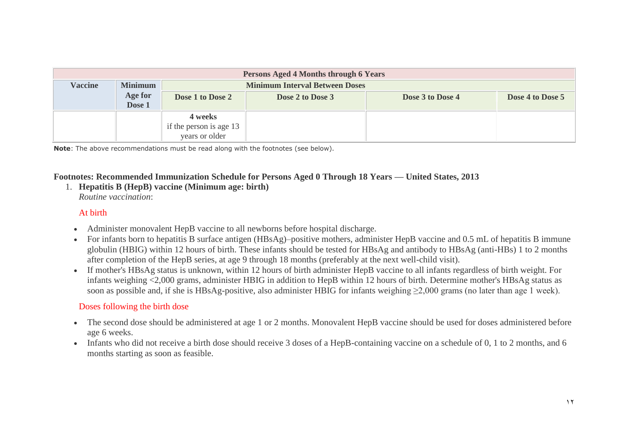| Persons Aged 4 Months through 6 Years |                   |                                       |                  |                  |                  |  |  |  |
|---------------------------------------|-------------------|---------------------------------------|------------------|------------------|------------------|--|--|--|
| <b>Vaccine</b>                        | <b>Minimum</b>    | <b>Minimum Interval Between Doses</b> |                  |                  |                  |  |  |  |
|                                       | Age for<br>Dose 1 | Dose 1 to Dose 2                      | Dose 2 to Dose 3 | Dose 3 to Dose 4 | Dose 4 to Dose 5 |  |  |  |
|                                       |                   | 4 weeks                               |                  |                  |                  |  |  |  |
|                                       |                   | if the person is age 13               |                  |                  |                  |  |  |  |
|                                       |                   | years or older                        |                  |                  |                  |  |  |  |

**Note**: The above recommendations must be read along with the footnotes (see below).

### **Footnotes: Recommended Immunization Schedule for Persons Aged 0 Through 18 Years — United States, 2013**

1. **Hepatitis B (HepB) vaccine (Minimum age: birth)**

*Routine vaccination*:

### At birth

- Administer monovalent HepB vaccine to all newborns before hospital discharge.
- For infants born to hepatitis B surface antigen (HBsAg)–positive mothers, administer HepB vaccine and 0.5 mL of hepatitis B immune globulin (HBIG) within 12 hours of birth. These infants should be tested for HBsAg and antibody to HBsAg (anti-HBs) 1 to 2 months after completion of the HepB series, at age 9 through 18 months (preferably at the next well-child visit).
- If mother's HBsAg status is unknown, within 12 hours of birth administer HepB vaccine to all infants regardless of birth weight. For infants weighing <2,000 grams, administer HBIG in addition to HepB within 12 hours of birth. Determine mother's HBsAg status as soon as possible and, if she is HBsAg-positive, also administer HBIG for infants weighing ≥2,000 grams (no later than age 1 week).

#### Doses following the birth dose

- The second dose should be administered at age 1 or 2 months. Monovalent HepB vaccine should be used for doses administered before age 6 weeks.
- Infants who did not receive a birth dose should receive 3 doses of a HepB-containing vaccine on a schedule of 0, 1 to 2 months, and 6 months starting as soon as feasible.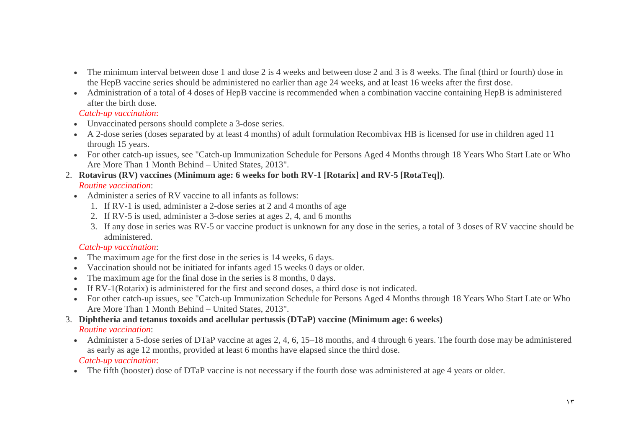- The minimum interval between dose 1 and dose 2 is 4 weeks and between dose 2 and 3 is 8 weeks. The final (third or fourth) dose in the HepB vaccine series should be administered no earlier than age 24 weeks, and at least 16 weeks after the first dose.
- Administration of a total of 4 doses of HepB vaccine is recommended when a combination vaccine containing HepB is administered after the birth dose.

### *Catch-up vaccination*:

- Unvaccinated persons should complete a 3-dose series.
- A 2-dose series (doses separated by at least 4 months) of adult formulation Recombivax HB is licensed for use in children aged 11 through 15 years.
- For other catch-up issues, see "Catch-up Immunization Schedule for Persons Aged 4 Months through 18 Years Who Start Late or Who Are More Than 1 Month Behind – United States, 2013".
- 2. **Rotavirus (RV) vaccines (Minimum age: 6 weeks for both RV-1 [Rotarix] and RV-5 [RotaTeq])**. *Routine vaccination*:
	- Administer a series of RV vaccine to all infants as follows:
		- 1. If RV-1 is used, administer a 2-dose series at 2 and 4 months of age
		- 2. If RV-5 is used, administer a 3-dose series at ages 2, 4, and 6 months
		- 3. If any dose in series was RV-5 or vaccine product is unknown for any dose in the series, a total of 3 doses of RV vaccine should be administered.

### *Catch-up vaccination*:

- The maximum age for the first dose in the series is 14 weeks, 6 days.
- Vaccination should not be initiated for infants aged 15 weeks 0 days or older.
- The maximum age for the final dose in the series is 8 months, 0 days.
- If RV-1(Rotarix) is administered for the first and second doses, a third dose is not indicated.
- For other catch-up issues, see "Catch-up Immunization Schedule for Persons Aged 4 Months through 18 Years Who Start Late or Who Are More Than 1 Month Behind – United States, 2013".
- 3. **Diphtheria and tetanus toxoids and acellular pertussis (DTaP) vaccine (Minimum age: 6 weeks)** *Routine vaccination*:
	- Administer a 5-dose series of DTaP vaccine at ages 2, 4, 6, 15–18 months, and 4 through 6 years. The fourth dose may be administered as early as age 12 months, provided at least 6 months have elapsed since the third dose. *Catch-up vaccination*:
	- The fifth (booster) dose of DTaP vaccine is not necessary if the fourth dose was administered at age 4 years or older.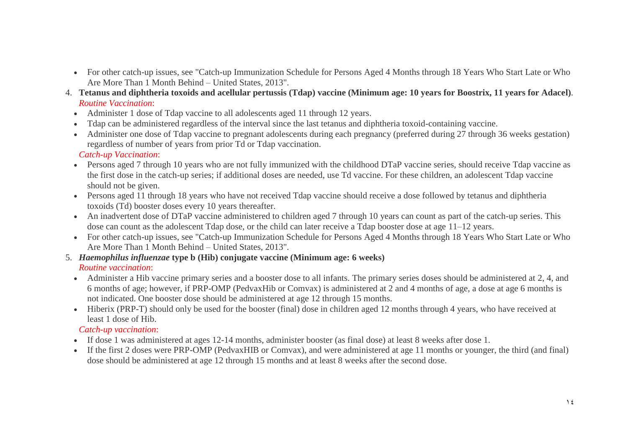- For other catch-up issues, see "Catch-up Immunization Schedule for Persons Aged 4 Months through 18 Years Who Start Late or Who Are More Than 1 Month Behind – United States, 2013".
- 4. **Tetanus and diphtheria toxoids and acellular pertussis (Tdap) vaccine (Minimum age: 10 years for Boostrix, 11 years for Adacel)**. *Routine Vaccination*:
	- Administer 1 dose of Tdap vaccine to all adolescents aged 11 through 12 years.
	- Tdap can be administered regardless of the interval since the last tetanus and diphtheria toxoid-containing vaccine.
	- Administer one dose of Tdap vaccine to pregnant adolescents during each pregnancy (preferred during 27 through 36 weeks gestation) regardless of number of years from prior Td or Tdap vaccination.

*Catch-up Vaccination*:

- Persons aged 7 through 10 years who are not fully immunized with the childhood DTaP vaccine series, should receive Tdap vaccine as the first dose in the catch-up series; if additional doses are needed, use Td vaccine. For these children, an adolescent Tdap vaccine should not be given.
- Persons aged 11 through 18 years who have not received Tdap vaccine should receive a dose followed by tetanus and diphtheria toxoids (Td) booster doses every 10 years thereafter.
- An inadvertent dose of DTaP vaccine administered to children aged 7 through 10 years can count as part of the catch-up series. This dose can count as the adolescent Tdap dose, or the child can later receive a Tdap booster dose at age 11–12 years.
- For other catch-up issues, see "Catch-up Immunization Schedule for Persons Aged 4 Months through 18 Years Who Start Late or Who Are More Than 1 Month Behind – United States, 2013".
- 5. *Haemophilus influenzae* **type b (Hib) conjugate vaccine (Minimum age: 6 weeks)** *Routine vaccination*:
	- Administer a Hib vaccine primary series and a booster dose to all infants. The primary series doses should be administered at 2, 4, and 6 months of age; however, if PRP-OMP (PedvaxHib or Comvax) is administered at 2 and 4 months of age, a dose at age 6 months is not indicated. One booster dose should be administered at age 12 through 15 months.
	- Hiberix (PRP-T) should only be used for the booster (final) dose in children aged 12 months through 4 years, who have received at least 1 dose of Hib.

*Catch-up vaccination*:

- If dose 1 was administered at ages 12-14 months, administer booster (as final dose) at least 8 weeks after dose 1.
- If the first 2 doses were PRP-OMP (PedvaxHIB or Comvax), and were administered at age 11 months or younger, the third (and final) dose should be administered at age 12 through 15 months and at least 8 weeks after the second dose.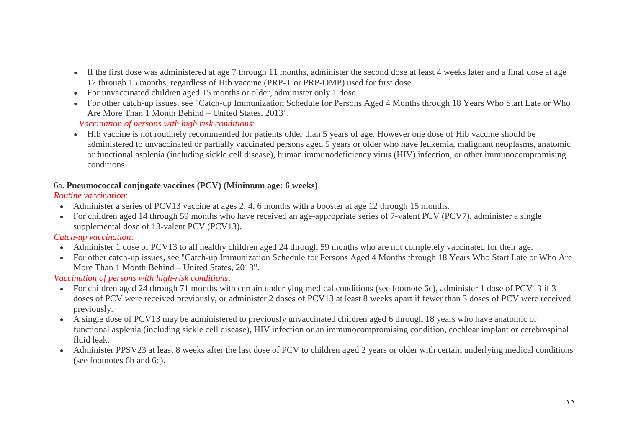- If the first dose was administered at age 7 through 11 months, administer the second dose at least 4 weeks later and a final dose at age 12 through 15 months, regardless of Hib vaccine (PRP-T or PRP-OMP) used for first dose.
- For unvaccinated children aged 15 months or older, administer only 1 dose.
- For other catch-up issues, see "Catch-up Immunization Schedule for Persons Aged 4 Months through 18 Years Who Start Late or Who Are More Than 1 Month Behind – United States, 2013".

*Vaccination of persons with high risk conditions*:

 Hib vaccine is not routinely recommended for patients older than 5 years of age. However one dose of Hib vaccine should be administered to unvaccinated or partially vaccinated persons aged 5 years or older who have leukemia, malignant neoplasms, anatomic or functional asplenia (including sickle cell disease), human immunodeficiency virus (HIV) infection, or other immunocompromising conditions.

### 6a. **Pneumococcal conjugate vaccines (PCV) (Minimum age: 6 weeks)**

### *Routine vaccination*:

- Administer a series of PCV13 vaccine at ages 2, 4, 6 months with a booster at age 12 through 15 months.
- For children aged 14 through 59 months who have received an age-appropriate series of 7-valent PCV (PCV7), administer a single supplemental dose of 13-valent PCV (PCV13).

# *Catch-up vaccination*:

- Administer 1 dose of PCV13 to all healthy children aged 24 through 59 months who are not completely vaccinated for their age.
- For other catch-up issues, see "Catch-up Immunization Schedule for Persons Aged 4 Months through 18 Years Who Start Late or Who Are More Than 1 Month Behind – United States, 2013".

### *Vaccination of persons with high-risk conditions*:

- For children aged 24 through 71 months with certain underlying medical conditions (see footnote 6c), administer 1 dose of PCV13 if 3 doses of PCV were received previously, or administer 2 doses of PCV13 at least 8 weeks apart if fewer than 3 doses of PCV were received previously.
- A single dose of PCV13 may be administered to previously unvaccinated children aged 6 through 18 years who have anatomic or functional asplenia (including sickle cell disease), HIV infection or an immunocompromising condition, cochlear implant or cerebrospinal fluid leak.
- Administer PPSV23 at least 8 weeks after the last dose of PCV to children aged 2 years or older with certain underlying medical conditions (see footnotes 6b and 6c).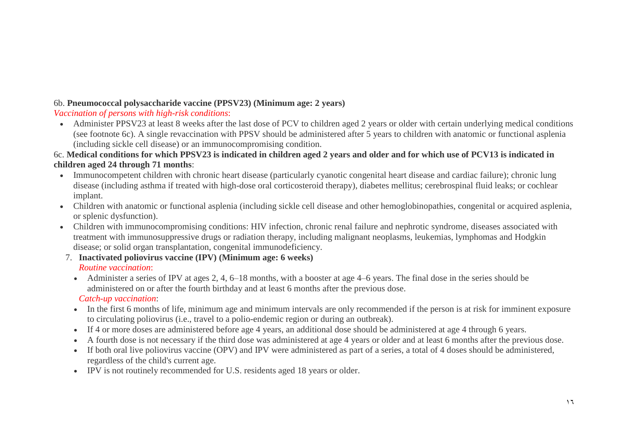# 6b. **Pneumococcal polysaccharide vaccine (PPSV23) (Minimum age: 2 years)**

*Vaccination of persons with high-risk conditions*:

• Administer PPSV23 at least 8 weeks after the last dose of PCV to children aged 2 years or older with certain underlying medical conditions (see footnote 6c). A single revaccination with PPSV should be administered after 5 years to children with anatomic or functional asplenia (including sickle cell disease) or an immunocompromising condition.

### 6c. **Medical conditions for which PPSV23 is indicated in children aged 2 years and older and for which use of PCV13 is indicated in children aged 24 through 71 months**:

- Immunocompetent children with chronic heart disease (particularly cyanotic congenital heart disease and cardiac failure); chronic lung disease (including asthma if treated with high-dose oral corticosteroid therapy), diabetes mellitus; cerebrospinal fluid leaks; or cochlear implant.
- Children with anatomic or functional asplenia (including sickle cell disease and other hemoglobinopathies, congenital or acquired asplenia, or splenic dysfunction).
- Children with immunocompromising conditions: HIV infection, chronic renal failure and nephrotic syndrome, diseases associated with treatment with immunosuppressive drugs or radiation therapy, including malignant neoplasms, leukemias, lymphomas and Hodgkin disease; or solid organ transplantation, congenital immunodeficiency.
- 7. **Inactivated poliovirus vaccine (IPV) (Minimum age: 6 weeks)** *Routine vaccination*:
	- Administer a series of IPV at ages 2, 4, 6–18 months, with a booster at age 4–6 years. The final dose in the series should be administered on or after the fourth birthday and at least 6 months after the previous dose.

*Catch-up vaccination*:

- In the first 6 months of life, minimum age and minimum intervals are only recommended if the person is at risk for imminent exposure to circulating poliovirus (i.e., travel to a polio-endemic region or during an outbreak).
- If 4 or more doses are administered before age 4 years, an additional dose should be administered at age 4 through 6 years.
- A fourth dose is not necessary if the third dose was administered at age 4 years or older and at least 6 months after the previous dose.
- If both oral live poliovirus vaccine (OPV) and IPV were administered as part of a series, a total of 4 doses should be administered, regardless of the child's current age.
- IPV is not routinely recommended for U.S. residents aged 18 years or older.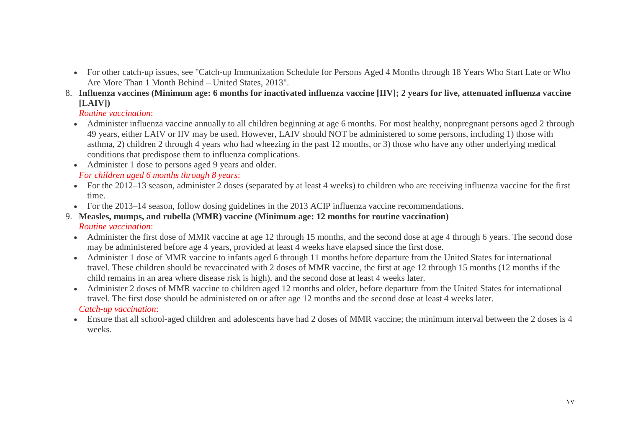- For other catch-up issues, see "Catch-up Immunization Schedule for Persons Aged 4 Months through 18 Years Who Start Late or Who Are More Than 1 Month Behind – United States, 2013".
- 8. **Influenza vaccines (Minimum age: 6 months for inactivated influenza vaccine [IIV]; 2 years for live, attenuated influenza vaccine [LAIV])**

*Routine vaccination*:

- Administer influenza vaccine annually to all children beginning at age 6 months. For most healthy, nonpregnant persons aged 2 through 49 years, either LAIV or IIV may be used. However, LAIV should NOT be administered to some persons, including 1) those with asthma, 2) children 2 through 4 years who had wheezing in the past 12 months, or 3) those who have any other underlying medical conditions that predispose them to influenza complications.
- Administer 1 dose to persons aged 9 years and older.

*For children aged 6 months through 8 years*:

- For the 2012–13 season, administer 2 doses (separated by at least 4 weeks) to children who are receiving influenza vaccine for the first time.
- For the 2013–14 season, follow dosing guidelines in the 2013 ACIP influenza vaccine recommendations.
- 9. **Measles, mumps, and rubella (MMR) vaccine (Minimum age: 12 months for routine vaccination)** *Routine vaccination*:
	- Administer the first dose of MMR vaccine at age 12 through 15 months, and the second dose at age 4 through 6 years. The second dose may be administered before age 4 years, provided at least 4 weeks have elapsed since the first dose.
	- Administer 1 dose of MMR vaccine to infants aged 6 through 11 months before departure from the United States for international travel. These children should be revaccinated with 2 doses of MMR vaccine, the first at age 12 through 15 months (12 months if the child remains in an area where disease risk is high), and the second dose at least 4 weeks later.
	- Administer 2 doses of MMR vaccine to children aged 12 months and older, before departure from the United States for international travel. The first dose should be administered on or after age 12 months and the second dose at least 4 weeks later.

*Catch-up vaccination*:

 Ensure that all school-aged children and adolescents have had 2 doses of MMR vaccine; the minimum interval between the 2 doses is 4 weeks.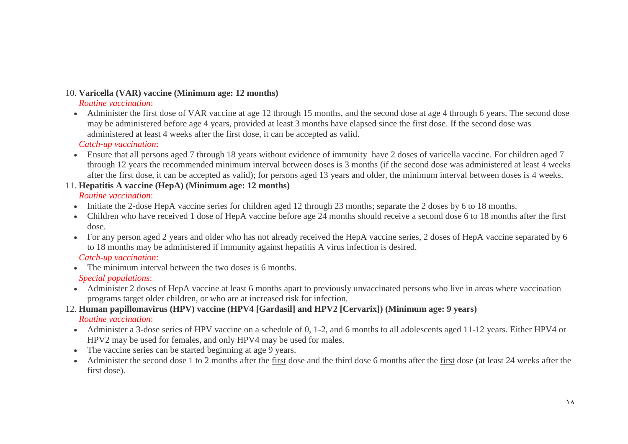### 10. **Varicella (VAR) vaccine (Minimum age: 12 months)**

### *Routine vaccination*:

• Administer the first dose of VAR vaccine at age 12 through 15 months, and the second dose at age 4 through 6 years. The second dose may be administered before age 4 years, provided at least 3 months have elapsed since the first dose. If the second dose was administered at least 4 weeks after the first dose, it can be accepted as valid.

### *Catch-up vaccination*:

 Ensure that all persons aged 7 through 18 years without evidence of immunity have 2 doses of varicella vaccine. For children aged 7 through 12 years the recommended minimum interval between doses is 3 months (if the second dose was administered at least 4 weeks after the first dose, it can be accepted as valid); for persons aged 13 years and older, the minimum interval between doses is 4 weeks.

# 11. **Hepatitis A vaccine (HepA) (Minimum age: 12 months)**

### *Routine vaccination*:

- Initiate the 2-dose HepA vaccine series for children aged 12 through 23 months; separate the 2 doses by 6 to 18 months.
- Children who have received 1 dose of HepA vaccine before age 24 months should receive a second dose 6 to 18 months after the first dose.
- For any person aged 2 years and older who has not already received the HepA vaccine series, 2 doses of HepA vaccine separated by 6 to 18 months may be administered if immunity against hepatitis A virus infection is desired.

# *Catch-up vaccination*:

• The minimum interval between the two doses is 6 months.

# *Special populations*:

 Administer 2 doses of HepA vaccine at least 6 months apart to previously unvaccinated persons who live in areas where vaccination programs target older children, or who are at increased risk for infection.

## 12. **Human papillomavirus (HPV) vaccine (HPV4 [Gardasil] and HPV2 [Cervarix]) (Minimum age: 9 years)** *Routine vaccination*:

- Administer a 3-dose series of HPV vaccine on a schedule of 0, 1-2, and 6 months to all adolescents aged 11-12 years. Either HPV4 or HPV2 may be used for females, and only HPV4 may be used for males.
- The vaccine series can be started beginning at age 9 years.
- Administer the second dose 1 to 2 months after the first dose and the third dose 6 months after the first dose (at least 24 weeks after the first dose).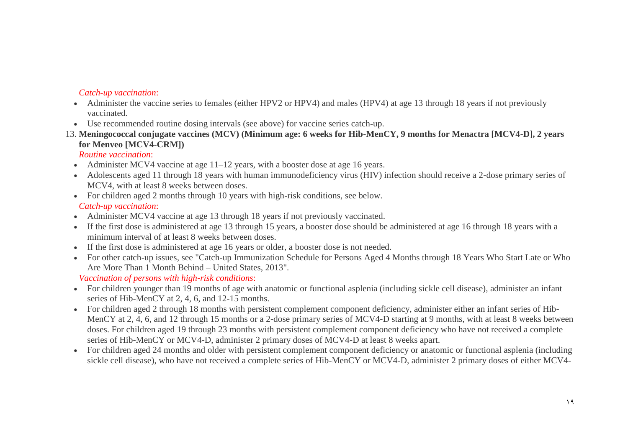### *Catch-up vaccination*:

- Administer the vaccine series to females (either HPV2 or HPV4) and males (HPV4) at age 13 through 18 years if not previously vaccinated.
- Use recommended routine dosing intervals (see above) for vaccine series catch-up.
- 13. **Meningococcal conjugate vaccines (MCV) (Minimum age: 6 weeks for Hib-MenCY, 9 months for Menactra [MCV4-D], 2 years for Menveo [MCV4-CRM])**

### *Routine vaccination*:

- Administer MCV4 vaccine at age 11–12 years, with a booster dose at age 16 years.
- Adolescents aged 11 through 18 years with human immunodeficiency virus (HIV) infection should receive a 2-dose primary series of MCV4, with at least 8 weeks between doses.
- For children aged 2 months through 10 years with high-risk conditions, see below.

### *Catch-up vaccination*:

- Administer MCV4 vaccine at age 13 through 18 years if not previously vaccinated.
- If the first dose is administered at age 13 through 15 years, a booster dose should be administered at age 16 through 18 years with a minimum interval of at least 8 weeks between doses.
- If the first dose is administered at age 16 years or older, a booster dose is not needed.
- For other catch-up issues, see "Catch-up Immunization Schedule for Persons Aged 4 Months through 18 Years Who Start Late or Who Are More Than 1 Month Behind – United States, 2013".

*Vaccination of persons with high-risk conditions*:

- For children younger than 19 months of age with anatomic or functional asplenia (including sickle cell disease), administer an infant series of Hib-MenCY at 2, 4, 6, and 12-15 months.
- For children aged 2 through 18 months with persistent complement component deficiency, administer either an infant series of Hib-MenCY at 2, 4, 6, and 12 through 15 months or a 2-dose primary series of MCV4-D starting at 9 months, with at least 8 weeks between doses. For children aged 19 through 23 months with persistent complement component deficiency who have not received a complete series of Hib-MenCY or MCV4-D, administer 2 primary doses of MCV4-D at least 8 weeks apart.
- For children aged 24 months and older with persistent complement component deficiency or anatomic or functional asplenia (including sickle cell disease), who have not received a complete series of Hib-MenCY or MCV4-D, administer 2 primary doses of either MCV4-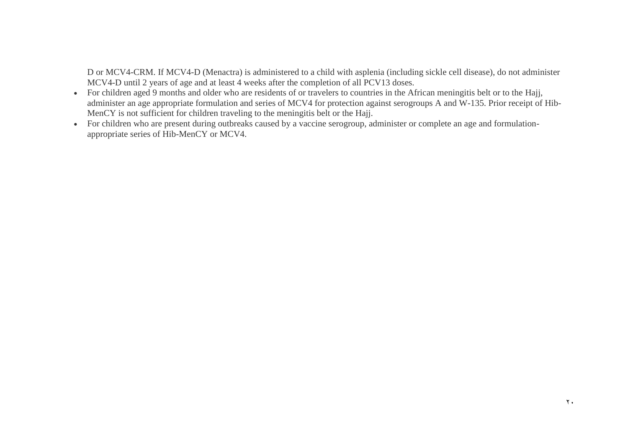D or MCV4-CRM. If MCV4-D (Menactra) is administered to a child with asplenia (including sickle cell disease), do not administer MCV4-D until 2 years of age and at least 4 weeks after the completion of all PCV13 doses.

- For children aged 9 months and older who are residents of or travelers to countries in the African meningitis belt or to the Hajj, administer an age appropriate formulation and series of MCV4 for protection against serogroups A and W-135. Prior receipt of Hib-MenCY is not sufficient for children traveling to the meningitis belt or the Hajj.
- For children who are present during outbreaks caused by a vaccine serogroup, administer or complete an age and formulationappropriate series of Hib-MenCY or MCV4.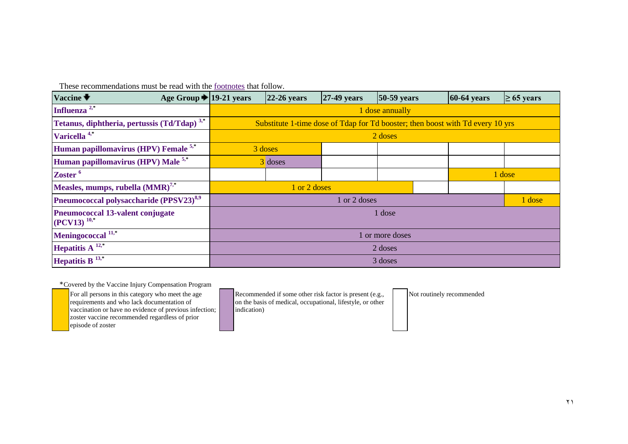| Vaccine $\blacktriangledown$<br>Age Group $\blacktriangleright$ 19-21 years | $ 22-26$ years                                                                 | $27-49$ years | $50-59$ years | $60-64$ years | $\geq 65$ years |  |  |  |
|-----------------------------------------------------------------------------|--------------------------------------------------------------------------------|---------------|---------------|---------------|-----------------|--|--|--|
| Influenza <sup>2,*</sup>                                                    | 1 dose annually                                                                |               |               |               |                 |  |  |  |
| Tetanus, diphtheria, pertussis (Td/Tdap) <sup>3,*</sup>                     | Substitute 1-time dose of Tdap for Td booster; then boost with Td every 10 yrs |               |               |               |                 |  |  |  |
| Varicella <sup>4,*</sup>                                                    | 2 doses                                                                        |               |               |               |                 |  |  |  |
| Human papillomavirus (HPV) Female <sup>5,*</sup>                            | 3 doses                                                                        |               |               |               |                 |  |  |  |
| Human papillomavirus (HPV) Male <sup>5,*</sup>                              | 3 doses                                                                        |               |               |               |                 |  |  |  |
| Zoster <sup>6</sup>                                                         |                                                                                |               |               |               | 1 dose          |  |  |  |
| Measles, mumps, rubella (MMR) <sup>7,*</sup>                                | 1 or 2 doses                                                                   |               |               |               |                 |  |  |  |
| Pneumococcal polysaccharide (PPSV23) <sup>8,9</sup>                         |                                                                                | 1 or 2 doses  |               |               | 1 dose          |  |  |  |
| Pneumococcal 13-valent conjugate<br>$(PCV13)^{10,*}$                        | 1 dose                                                                         |               |               |               |                 |  |  |  |
| Meningococcal 11,*                                                          | or more doses                                                                  |               |               |               |                 |  |  |  |
| <b>Hepatitis A</b> $^{12,*}$                                                |                                                                                |               | 2 doses       |               |                 |  |  |  |
| <b>Hepatitis B</b> $^{13,*}$                                                |                                                                                |               | 3 doses       |               |                 |  |  |  |

These recommendations must be read with the [footnotes](http://www.cdc.gov/vaccines/schedules/hcp/imz/adult-shell.html#footnotes) that follow.

\*Covered by the Vaccine Injury Compensation Program

For all persons in this category who meet the age requirements and who lack documentation of vaccination or have no evidence of previous infection; zoster vaccine recommended regardless of prior episode of zoster

Recommended if some other risk factor is present (e.g., on the basis of medical, occupational, lifestyle, or other indication)

Not routinely recommended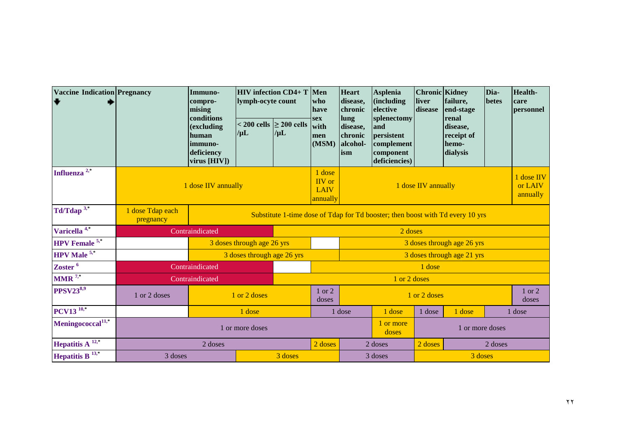| <b>Vaccine Indication Pregnancy</b>  |                               | <b>Heart</b><br>$HIV$ infection CD4+ T Men<br>Immuno-<br>lymph-ocyte count<br>who<br>disease,<br>compro-<br>mising<br>chronic<br>have<br>conditions<br>lung<br><b>sex</b> |                                                                                | <b>Asplenia</b><br>(including)<br>elective<br>splenectomy | <b>Chronic Kidney</b><br>liver<br>disease          | failure,<br>end-stage<br>renal                           | Dia-<br>betes                                                 | Health-<br>care<br>personnel |                                             |         |                 |  |
|--------------------------------------|-------------------------------|---------------------------------------------------------------------------------------------------------------------------------------------------------------------------|--------------------------------------------------------------------------------|-----------------------------------------------------------|----------------------------------------------------|----------------------------------------------------------|---------------------------------------------------------------|------------------------------|---------------------------------------------|---------|-----------------|--|
|                                      |                               | (excluding<br>human<br>immuno-<br>deficiency<br>virus [HIV])                                                                                                              | $/\mu L$                                                                       | $< 200$ cells $\geq 200$ cells<br>$/\mu L$                | with<br>men<br>(MSM)                               | disease,<br>chronic<br>alcohol-<br>ism                   | and<br>persistent<br>complement<br>component<br>deficiencies) |                              | disease,<br>receipt of<br>hemo-<br>dialysis |         |                 |  |
| Influenza <sup>2,*</sup>             | 1 dose IIV annually           |                                                                                                                                                                           |                                                                                |                                                           | 1 dose<br><b>IIV</b> or<br><b>LAIV</b><br>annually | 1 dose IIV<br>1 dose IIV annually<br>or LAIV<br>annually |                                                               |                              |                                             |         |                 |  |
| $Td/T$ dap <sup>3,*</sup>            | 1 dose Tdap each<br>pregnancy |                                                                                                                                                                           | Substitute 1-time dose of Tdap for Td booster; then boost with Td every 10 yrs |                                                           |                                                    |                                                          |                                                               |                              |                                             |         |                 |  |
| Varicella <sup>4,*</sup>             |                               | Contraindicated                                                                                                                                                           |                                                                                |                                                           |                                                    |                                                          | 2 doses                                                       |                              |                                             |         |                 |  |
| HPV Female <sup>5,*</sup>            |                               |                                                                                                                                                                           | 3 doses through age 26 yrs                                                     |                                                           |                                                    |                                                          | 3 doses through age 26 yrs                                    |                              |                                             |         |                 |  |
| HPV Male $5$ ,*                      |                               |                                                                                                                                                                           | 3 doses through age 26 yrs                                                     |                                                           |                                                    |                                                          | 3 doses through age 21 yrs                                    |                              |                                             |         |                 |  |
| Zoster <sup>6</sup>                  |                               | Contraindicated                                                                                                                                                           |                                                                                |                                                           |                                                    | 1 dose                                                   |                                                               |                              |                                             |         |                 |  |
| $MMR^{\frac{7}{7}}$                  |                               | Contraindicated                                                                                                                                                           |                                                                                |                                                           |                                                    |                                                          | 1 or 2 doses                                                  |                              |                                             |         |                 |  |
| <b>PPSV238,9</b>                     | 1 or 2 doses                  |                                                                                                                                                                           | 1 or 2 doses                                                                   |                                                           | 1 or 2<br>doses                                    |                                                          |                                                               | 1 or 2 doses                 |                                             |         | 1 or 2<br>doses |  |
| $PCV13^{10,*}$                       |                               |                                                                                                                                                                           | 1 dose                                                                         |                                                           |                                                    | 1 dose                                                   | 1 dose                                                        | 1 dose                       | 1 dose                                      |         | 1 dose          |  |
| Meningococcal <sup>11,*</sup>        |                               | 1 or more doses                                                                                                                                                           |                                                                                |                                                           |                                                    |                                                          | 1 or more<br>doses                                            |                              | 1 or more doses                             |         |                 |  |
| <b>Hepatitis A</b> $\overline{12,*}$ |                               | 2 doses                                                                                                                                                                   |                                                                                |                                                           |                                                    |                                                          | 2 doses                                                       | 2 doses                      |                                             | 2 doses |                 |  |
| <b>Hepatitis B</b> $^{13,*}$         | 3 doses                       |                                                                                                                                                                           |                                                                                | 3 doses                                                   |                                                    |                                                          | 3 doses<br>3 doses                                            |                              |                                             |         |                 |  |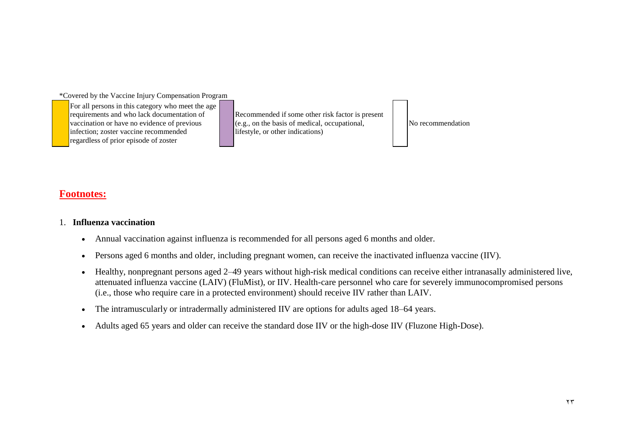\*Covered by the Vaccine Injury Compensation Program

For all persons in this category who meet the age requirements and who lack documentation of vaccination or have no evidence of previous infection; zoster vaccine recommended regardless of prior episode of zoster

Recommended if some other risk factor is present (e.g., on the basis of medical, occupational, lifestyle, or other indications)

No recommendation

### **Footnotes:**

#### 1. **Influenza vaccination**

- Annual vaccination against influenza is recommended for all persons aged 6 months and older.
- Persons aged 6 months and older, including pregnant women, can receive the inactivated influenza vaccine (IIV).
- Healthy, nonpregnant persons aged 2–49 years without high-risk medical conditions can receive either intranasally administered live, attenuated influenza vaccine (LAIV) (FluMist), or IIV. Health-care personnel who care for severely immunocompromised persons (i.e., those who require care in a protected environment) should receive IIV rather than LAIV.
- The intramuscularly or intradermally administered IIV are options for adults aged 18–64 years.
- Adults aged 65 years and older can receive the standard dose IIV or the high-dose IIV (Fluzone High-Dose).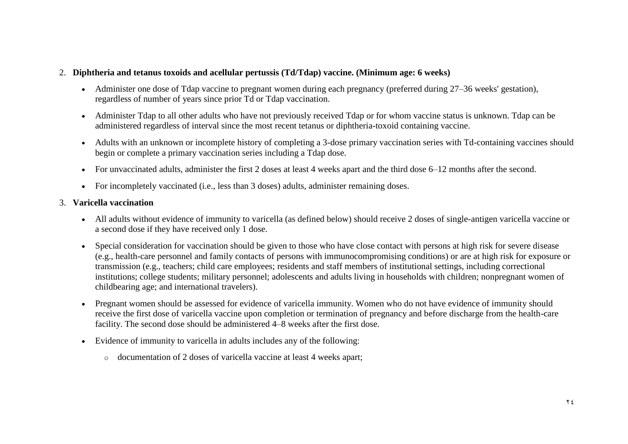### 2. **Diphtheria and tetanus toxoids and acellular pertussis (Td/Tdap) vaccine. (Minimum age: 6 weeks)**

- Administer one dose of Tdap vaccine to pregnant women during each pregnancy (preferred during 27–36 weeks' gestation), regardless of number of years since prior Td or Tdap vaccination.
- Administer Tdap to all other adults who have not previously received Tdap or for whom vaccine status is unknown. Tdap can be administered regardless of interval since the most recent tetanus or diphtheria-toxoid containing vaccine.
- Adults with an unknown or incomplete history of completing a 3-dose primary vaccination series with Td-containing vaccines should begin or complete a primary vaccination series including a Tdap dose.
- For unvaccinated adults, administer the first 2 doses at least 4 weeks apart and the third dose 6–12 months after the second.
- For incompletely vaccinated (i.e., less than 3 doses) adults, administer remaining doses.

### 3. **Varicella vaccination**

- All adults without evidence of immunity to varicella (as defined below) should receive 2 doses of single-antigen varicella vaccine or a second dose if they have received only 1 dose.
- Special consideration for vaccination should be given to those who have close contact with persons at high risk for severe disease (e.g., health-care personnel and family contacts of persons with immunocompromising conditions) or are at high risk for exposure or transmission (e.g., teachers; child care employees; residents and staff members of institutional settings, including correctional institutions; college students; military personnel; adolescents and adults living in households with children; nonpregnant women of childbearing age; and international travelers).
- Pregnant women should be assessed for evidence of varicella immunity. Women who do not have evidence of immunity should receive the first dose of varicella vaccine upon completion or termination of pregnancy and before discharge from the health-care facility. The second dose should be administered 4–8 weeks after the first dose.
- Evidence of immunity to varicella in adults includes any of the following:
	- o documentation of 2 doses of varicella vaccine at least 4 weeks apart;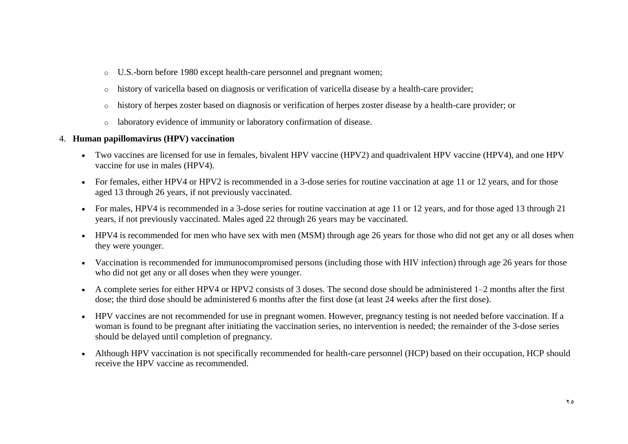- o U.S.-born before 1980 except health-care personnel and pregnant women;
- o history of varicella based on diagnosis or verification of varicella disease by a health-care provider;
- o history of herpes zoster based on diagnosis or verification of herpes zoster disease by a health-care provider; or
- o laboratory evidence of immunity or laboratory confirmation of disease.

### 4. **Human papillomavirus (HPV) vaccination**

- Two vaccines are licensed for use in females, bivalent HPV vaccine (HPV2) and quadrivalent HPV vaccine (HPV4), and one HPV vaccine for use in males (HPV4).
- For females, either HPV4 or HPV2 is recommended in a 3-dose series for routine vaccination at age 11 or 12 years, and for those aged 13 through 26 years, if not previously vaccinated.
- For males, HPV4 is recommended in a 3-dose series for routine vaccination at age 11 or 12 years, and for those aged 13 through 21 years, if not previously vaccinated. Males aged 22 through 26 years may be vaccinated.
- HPV4 is recommended for men who have sex with men (MSM) through age 26 years for those who did not get any or all doses when they were younger.
- Vaccination is recommended for immunocompromised persons (including those with HIV infection) through age 26 years for those who did not get any or all doses when they were younger.
- A complete series for either HPV4 or HPV2 consists of 3 doses. The second dose should be administered 1–2 months after the first dose; the third dose should be administered 6 months after the first dose (at least 24 weeks after the first dose).
- HPV vaccines are not recommended for use in pregnant women. However, pregnancy testing is not needed before vaccination. If a woman is found to be pregnant after initiating the vaccination series, no intervention is needed; the remainder of the 3-dose series should be delayed until completion of pregnancy.
- Although HPV vaccination is not specifically recommended for health-care personnel (HCP) based on their occupation, HCP should receive the HPV vaccine as recommended.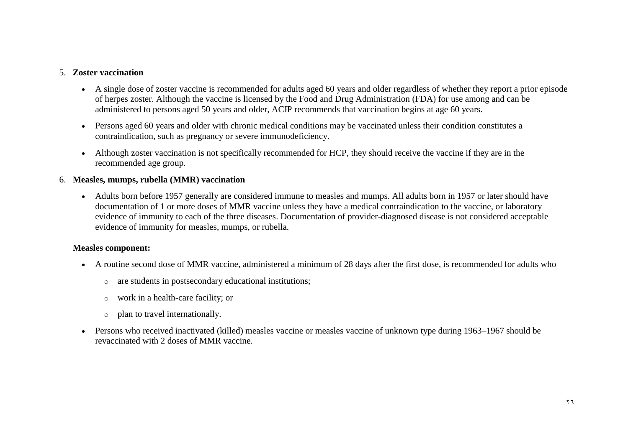#### 5. **Zoster vaccination**

- A single dose of zoster vaccine is recommended for adults aged 60 years and older regardless of whether they report a prior episode of herpes zoster. Although the vaccine is licensed by the Food and Drug Administration (FDA) for use among and can be administered to persons aged 50 years and older, ACIP recommends that vaccination begins at age 60 years.
- Persons aged 60 years and older with chronic medical conditions may be vaccinated unless their condition constitutes a contraindication, such as pregnancy or severe immunodeficiency.
- Although zoster vaccination is not specifically recommended for HCP, they should receive the vaccine if they are in the recommended age group.

#### 6. **Measles, mumps, rubella (MMR) vaccination**

 Adults born before 1957 generally are considered immune to measles and mumps. All adults born in 1957 or later should have documentation of 1 or more doses of MMR vaccine unless they have a medical contraindication to the vaccine, or laboratory evidence of immunity to each of the three diseases. Documentation of provider-diagnosed disease is not considered acceptable evidence of immunity for measles, mumps, or rubella.

#### **Measles component:**

- A routine second dose of MMR vaccine, administered a minimum of 28 days after the first dose, is recommended for adults who
	- o are students in postsecondary educational institutions;
	- o work in a health-care facility; or
	- o plan to travel internationally.
- Persons who received inactivated (killed) measles vaccine or measles vaccine of unknown type during 1963–1967 should be revaccinated with 2 doses of MMR vaccine.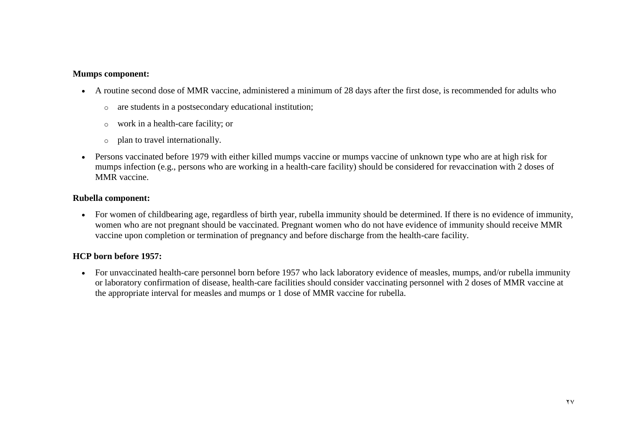#### **Mumps component:**

- A routine second dose of MMR vaccine, administered a minimum of 28 days after the first dose, is recommended for adults who
	- o are students in a postsecondary educational institution;
	- o work in a health-care facility; or
	- o plan to travel internationally.
- Persons vaccinated before 1979 with either killed mumps vaccine or mumps vaccine of unknown type who are at high risk for mumps infection (e.g., persons who are working in a health-care facility) should be considered for revaccination with 2 doses of MMR vaccine.

#### **Rubella component:**

 For women of childbearing age, regardless of birth year, rubella immunity should be determined. If there is no evidence of immunity, women who are not pregnant should be vaccinated. Pregnant women who do not have evidence of immunity should receive MMR vaccine upon completion or termination of pregnancy and before discharge from the health-care facility.

### **HCP born before 1957:**

 For unvaccinated health-care personnel born before 1957 who lack laboratory evidence of measles, mumps, and/or rubella immunity or laboratory confirmation of disease, health-care facilities should consider vaccinating personnel with 2 doses of MMR vaccine at the appropriate interval for measles and mumps or 1 dose of MMR vaccine for rubella.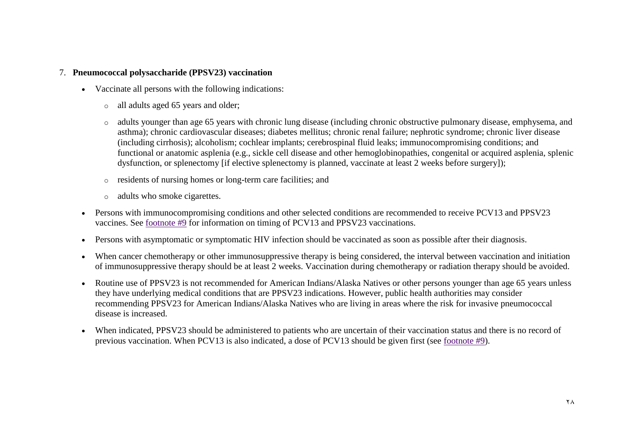### 7. **Pneumococcal polysaccharide (PPSV23) vaccination**

- Vaccinate all persons with the following indications:
	- o all adults aged 65 years and older;
	- o adults younger than age 65 years with chronic lung disease (including chronic obstructive pulmonary disease, emphysema, and asthma); chronic cardiovascular diseases; diabetes mellitus; chronic renal failure; nephrotic syndrome; chronic liver disease (including cirrhosis); alcoholism; cochlear implants; cerebrospinal fluid leaks; immunocompromising conditions; and functional or anatomic asplenia (e.g., sickle cell disease and other hemoglobinopathies, congenital or acquired asplenia, splenic dysfunction, or splenectomy [if elective splenectomy is planned, vaccinate at least 2 weeks before surgery]);
	- o residents of nursing homes or long-term care facilities; and
	- o adults who smoke cigarettes.
- Persons with immunocompromising conditions and other selected conditions are recommended to receive PCV13 and PPSV23 vaccines. See [footnote #9](http://www.cdc.gov/vaccines/schedules/hcp/imz/adult-conditions-shell.html#f10) for information on timing of PCV13 and PPSV23 vaccinations.
- Persons with asymptomatic or symptomatic HIV infection should be vaccinated as soon as possible after their diagnosis.
- When cancer chemotherapy or other immunosuppressive therapy is being considered, the interval between vaccination and initiation of immunosuppressive therapy should be at least 2 weeks. Vaccination during chemotherapy or radiation therapy should be avoided.
- Routine use of PPSV23 is not recommended for American Indians/Alaska Natives or other persons younger than age 65 years unless they have underlying medical conditions that are PPSV23 indications. However, public health authorities may consider recommending PPSV23 for American Indians/Alaska Natives who are living in areas where the risk for invasive pneumococcal disease is increased.
- When indicated, PPSV23 should be administered to patients who are uncertain of their vaccination status and there is no record of previous vaccination. When PCV13 is also indicated, a dose of PCV13 should be given first (see [footnote #9\)](http://www.cdc.gov/vaccines/schedules/hcp/imz/adult-conditions-shell.html#f10).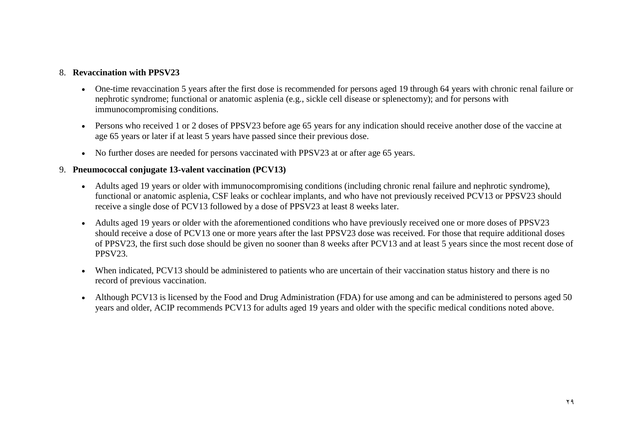#### 8. **Revaccination with PPSV23**

- One-time revaccination 5 years after the first dose is recommended for persons aged 19 through 64 years with chronic renal failure or nephrotic syndrome; functional or anatomic asplenia (e.g., sickle cell disease or splenectomy); and for persons with immunocompromising conditions.
- Persons who received 1 or 2 doses of PPSV23 before age 65 years for any indication should receive another dose of the vaccine at age 65 years or later if at least 5 years have passed since their previous dose.
- No further doses are needed for persons vaccinated with PPSV23 at or after age 65 years.

### 9. **Pneumococcal conjugate 13-valent vaccination (PCV13)**

- Adults aged 19 years or older with immunocompromising conditions (including chronic renal failure and nephrotic syndrome), functional or anatomic asplenia, CSF leaks or cochlear implants, and who have not previously received PCV13 or PPSV23 should receive a single dose of PCV13 followed by a dose of PPSV23 at least 8 weeks later.
- Adults aged 19 years or older with the aforementioned conditions who have previously received one or more doses of PPSV23 should receive a dose of PCV13 one or more years after the last PPSV23 dose was received. For those that require additional doses of PPSV23, the first such dose should be given no sooner than 8 weeks after PCV13 and at least 5 years since the most recent dose of PPSV23.
- When indicated, PCV13 should be administered to patients who are uncertain of their vaccination status history and there is no record of previous vaccination.
- Although PCV13 is licensed by the Food and Drug Administration (FDA) for use among and can be administered to persons aged 50 years and older, ACIP recommends PCV13 for adults aged 19 years and older with the specific medical conditions noted above.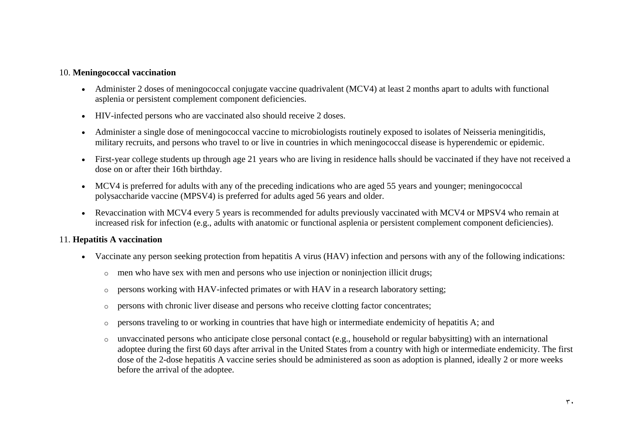#### 10. **Meningococcal vaccination**

- Administer 2 doses of meningococcal conjugate vaccine quadrivalent (MCV4) at least 2 months apart to adults with functional asplenia or persistent complement component deficiencies.
- HIV-infected persons who are vaccinated also should receive 2 doses.
- Administer a single dose of meningococcal vaccine to microbiologists routinely exposed to isolates of Neisseria meningitidis, military recruits, and persons who travel to or live in countries in which meningococcal disease is hyperendemic or epidemic.
- First-year college students up through age 21 years who are living in residence halls should be vaccinated if they have not received a dose on or after their 16th birthday.
- MCV4 is preferred for adults with any of the preceding indications who are aged 55 years and younger; meningococcal polysaccharide vaccine (MPSV4) is preferred for adults aged 56 years and older.
- Revaccination with MCV4 every 5 years is recommended for adults previously vaccinated with MCV4 or MPSV4 who remain at increased risk for infection (e.g., adults with anatomic or functional asplenia or persistent complement component deficiencies).

### 11. **Hepatitis A vaccination**

- Vaccinate any person seeking protection from hepatitis A virus (HAV) infection and persons with any of the following indications:
	- $\circ$  men who have sex with men and persons who use injection or noninjection illicit drugs;
	- o persons working with HAV-infected primates or with HAV in a research laboratory setting;
	- o persons with chronic liver disease and persons who receive clotting factor concentrates;
	- $\circ$  persons traveling to or working in countries that have high or intermediate endemicity of hepatitis A; and
	- o unvaccinated persons who anticipate close personal contact (e.g., household or regular babysitting) with an international adoptee during the first 60 days after arrival in the United States from a country with high or intermediate endemicity. The first dose of the 2-dose hepatitis A vaccine series should be administered as soon as adoption is planned, ideally 2 or more weeks before the arrival of the adoptee.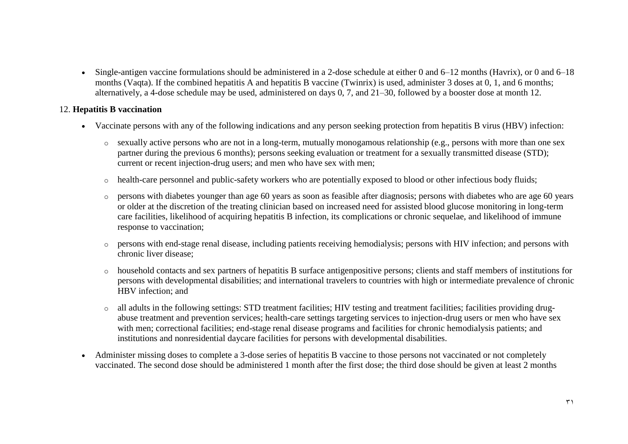Single-antigen vaccine formulations should be administered in a 2-dose schedule at either 0 and 6–12 months (Havrix), or 0 and 6–18 months (Vaqta). If the combined hepatitis A and hepatitis B vaccine (Twinrix) is used, administer 3 doses at 0, 1, and 6 months; alternatively, a 4-dose schedule may be used, administered on days 0, 7, and 21–30, followed by a booster dose at month 12.

### 12. **Hepatitis B vaccination**

- Vaccinate persons with any of the following indications and any person seeking protection from hepatitis B virus (HBV) infection:
	- o sexually active persons who are not in a long-term, mutually monogamous relationship (e.g., persons with more than one sex partner during the previous 6 months); persons seeking evaluation or treatment for a sexually transmitted disease (STD); current or recent injection-drug users; and men who have sex with men;
	- o health-care personnel and public-safety workers who are potentially exposed to blood or other infectious body fluids;
	- o persons with diabetes younger than age 60 years as soon as feasible after diagnosis; persons with diabetes who are age 60 years or older at the discretion of the treating clinician based on increased need for assisted blood glucose monitoring in long-term care facilities, likelihood of acquiring hepatitis B infection, its complications or chronic sequelae, and likelihood of immune response to vaccination;
	- o persons with end-stage renal disease, including patients receiving hemodialysis; persons with HIV infection; and persons with chronic liver disease;
	- o household contacts and sex partners of hepatitis B surface antigenpositive persons; clients and staff members of institutions for persons with developmental disabilities; and international travelers to countries with high or intermediate prevalence of chronic HBV infection; and
	- o all adults in the following settings: STD treatment facilities; HIV testing and treatment facilities; facilities providing drugabuse treatment and prevention services; health-care settings targeting services to injection-drug users or men who have sex with men; correctional facilities; end-stage renal disease programs and facilities for chronic hemodialysis patients; and institutions and nonresidential daycare facilities for persons with developmental disabilities.
- Administer missing doses to complete a 3-dose series of hepatitis B vaccine to those persons not vaccinated or not completely vaccinated. The second dose should be administered 1 month after the first dose; the third dose should be given at least 2 months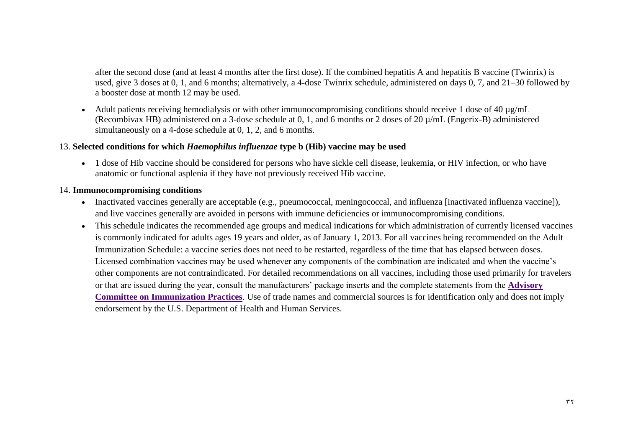after the second dose (and at least 4 months after the first dose). If the combined hepatitis A and hepatitis B vaccine (Twinrix) is used, give 3 doses at 0, 1, and 6 months; alternatively, a 4-dose Twinrix schedule, administered on days 0, 7, and 21–30 followed by a booster dose at month 12 may be used.

• Adult patients receiving hemodialysis or with other immunocompromising conditions should receive 1 dose of 40 µg/mL (Recombivax HB) administered on a 3-dose schedule at 0, 1, and 6 months or 2 doses of 20 µ/mL (Engerix-B) administered simultaneously on a 4-dose schedule at 0, 1, 2, and 6 months.

#### 13. **Selected conditions for which** *Haemophilus influenzae* **type b (Hib) vaccine may be used**

 1 dose of Hib vaccine should be considered for persons who have sickle cell disease, leukemia, or HIV infection, or who have anatomic or functional asplenia if they have not previously received Hib vaccine.

#### 14. **Immunocompromising conditions**

- Inactivated vaccines generally are acceptable (e.g., pneumococcal, meningococcal, and influenza [inactivated influenza vaccine]), and live vaccines generally are avoided in persons with immune deficiencies or immunocompromising conditions.
- This schedule indicates the recommended age groups and medical indications for which administration of currently licensed vaccines is commonly indicated for adults ages 19 years and older, as of January 1, 2013. For all vaccines being recommended on the Adult Immunization Schedule: a vaccine series does not need to be restarted, regardless of the time that has elapsed between doses. Licensed combination vaccines may be used whenever any components of the combination are indicated and when the vaccine's other components are not contraindicated. For detailed recommendations on all vaccines, including those used primarily for travelers or that are issued during the year, consult the manufacturers' package inserts and the complete statements from the **[Advisory](http://www.cdc.gov/vaccines/hcp/acip-recs/index.html)  [Committee on Immunization Practices](http://www.cdc.gov/vaccines/hcp/acip-recs/index.html)**. Use of trade names and commercial sources is for identification only and does not imply endorsement by the U.S. Department of Health and Human Services.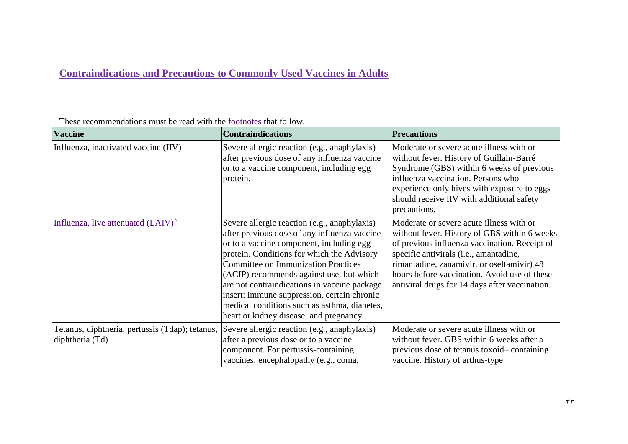# **Contraindications and Precautions to Commonly Used Vaccines in Adults**

| <b>Vaccine</b>                                                     | <b>Contraindications</b>                                                                                                                                                                                                                                                                                                                                                                                                                                            | <b>Precautions</b>                                                                                                                                                                                                                                                                                                                  |
|--------------------------------------------------------------------|---------------------------------------------------------------------------------------------------------------------------------------------------------------------------------------------------------------------------------------------------------------------------------------------------------------------------------------------------------------------------------------------------------------------------------------------------------------------|-------------------------------------------------------------------------------------------------------------------------------------------------------------------------------------------------------------------------------------------------------------------------------------------------------------------------------------|
| Influenza, inactivated vaccine (IIV)                               | Severe allergic reaction (e.g., anaphylaxis)<br>after previous dose of any influenza vaccine<br>or to a vaccine component, including egg<br>protein.                                                                                                                                                                                                                                                                                                                | Moderate or severe acute illness with or<br>without fever. History of Guillain-Barré<br>Syndrome (GBS) within 6 weeks of previous<br>influenza vaccination. Persons who<br>experience only hives with exposure to eggs<br>should receive IIV with additional safety<br>precautions.                                                 |
| Influenza, live attenuated (LAIV) <sup>3</sup>                     | Severe allergic reaction (e.g., anaphylaxis)<br>after previous dose of any influenza vaccine<br>or to a vaccine component, including egg<br>protein. Conditions for which the Advisory<br>Committee on Immunization Practices<br>(ACIP) recommends against use, but which<br>are not contraindications in vaccine package<br>insert: immune suppression, certain chronic<br>medical conditions such as asthma, diabetes,<br>heart or kidney disease. and pregnancy. | Moderate or severe acute illness with or<br>without fever. History of GBS within 6 weeks<br>of previous influenza vaccination. Receipt of<br>specific antivirals (i.e., amantadine,<br>rimantadine, zanamivir, or oseltamivir) 48<br>hours before vaccination. Avoid use of these<br>antiviral drugs for 14 days after vaccination. |
| Tetanus, diphtheria, pertussis (Tdap); tetanus,<br>diphtheria (Td) | Severe allergic reaction (e.g., anaphylaxis)<br>after a previous dose or to a vaccine<br>component. For pertussis-containing<br>vaccines: encephalopathy (e.g., coma,                                                                                                                                                                                                                                                                                               | Moderate or severe acute illness with or<br>without fever. GBS within 6 weeks after a<br>previous dose of tetanus toxoid–containing<br>vaccine. History of arthus-type                                                                                                                                                              |

These recommendations must be read with the [footnotes](http://www.cdc.gov/vaccines/schedules/hcp/imz/adult-contraindications-shell.html#footnotes) that follow.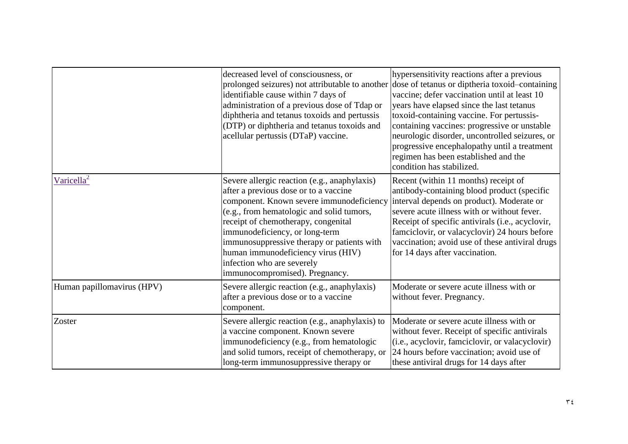|                            | decreased level of consciousness, or<br>identifiable cause within 7 days of<br>administration of a previous dose of Tdap or<br>diphtheria and tetanus toxoids and pertussis<br>(DTP) or diphtheria and tetanus toxoids and<br>acellular pertussis (DTaP) vaccine.                                                                                                                                           | hypersensitivity reactions after a previous<br>prolonged seizures) not attributable to another dose of tetanus or diptheria toxoid-containing<br>vaccine; defer vaccination until at least 10<br>years have elapsed since the last tetanus<br>toxoid-containing vaccine. For pertussis-<br>containing vaccines: progressive or unstable<br>neurologic disorder, uncontrolled seizures, or<br>progressive encephalopathy until a treatment<br>regimen has been established and the<br>condition has stabilized. |
|----------------------------|-------------------------------------------------------------------------------------------------------------------------------------------------------------------------------------------------------------------------------------------------------------------------------------------------------------------------------------------------------------------------------------------------------------|----------------------------------------------------------------------------------------------------------------------------------------------------------------------------------------------------------------------------------------------------------------------------------------------------------------------------------------------------------------------------------------------------------------------------------------------------------------------------------------------------------------|
| Varicella <sup>2</sup>     | Severe allergic reaction (e.g., anaphylaxis)<br>after a previous dose or to a vaccine<br>component. Known severe immunodeficiency<br>(e.g., from hematologic and solid tumors,<br>receipt of chemotherapy, congenital<br>immunodeficiency, or long-term<br>immunosuppressive therapy or patients with<br>human immunodeficiency virus (HIV)<br>infection who are severely<br>immunocompromised). Pregnancy. | Recent (within 11 months) receipt of<br>antibody-containing blood product (specific<br>interval depends on product). Moderate or<br>severe acute illness with or without fever.<br>Receipt of specific antivirals (i.e., acyclovir,<br>famciclovir, or valacyclovir) 24 hours before<br>vaccination; avoid use of these antiviral drugs<br>for 14 days after vaccination.                                                                                                                                      |
| Human papillomavirus (HPV) | Severe allergic reaction (e.g., anaphylaxis)<br>after a previous dose or to a vaccine<br>component.                                                                                                                                                                                                                                                                                                         | Moderate or severe acute illness with or<br>without fever. Pregnancy.                                                                                                                                                                                                                                                                                                                                                                                                                                          |
| Zoster                     | Severe allergic reaction (e.g., anaphylaxis) to<br>a vaccine component. Known severe<br>immunodeficiency (e.g., from hematologic<br>and solid tumors, receipt of chemotherapy, or<br>long-term immunosuppressive therapy or                                                                                                                                                                                 | Moderate or severe acute illness with or<br>without fever. Receipt of specific antivirals<br>$(i.e., a cyclovir, famciclovir, or valacyclovir)$<br>24 hours before vaccination; avoid use of<br>these antiviral drugs for 14 days after                                                                                                                                                                                                                                                                        |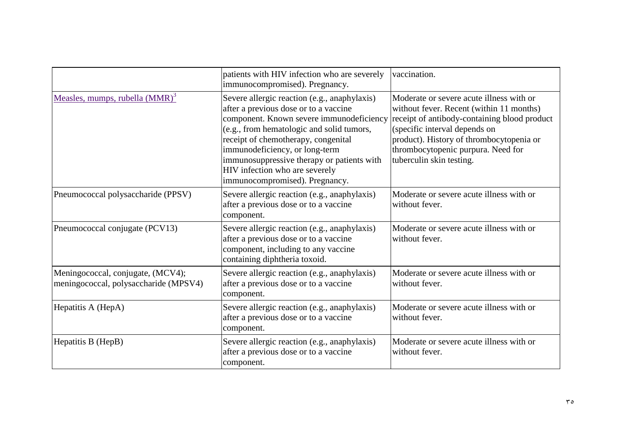|                                                                            | patients with HIV infection who are severely<br>immunocompromised). Pregnancy.                                                                                                                                                                                                                                                                                            | vaccination.                                                                                                                                                                                                                                                                        |
|----------------------------------------------------------------------------|---------------------------------------------------------------------------------------------------------------------------------------------------------------------------------------------------------------------------------------------------------------------------------------------------------------------------------------------------------------------------|-------------------------------------------------------------------------------------------------------------------------------------------------------------------------------------------------------------------------------------------------------------------------------------|
| Measles, mumps, rubella $(MMR)^3$                                          | Severe allergic reaction (e.g., anaphylaxis)<br>after a previous dose or to a vaccine<br>component. Known severe immunodeficiency<br>(e.g., from hematologic and solid tumors,<br>receipt of chemotherapy, congenital<br>immunodeficiency, or long-term<br>immunosuppressive therapy or patients with<br>HIV infection who are severely<br>immunocompromised). Pregnancy. | Moderate or severe acute illness with or<br>without fever. Recent (within 11 months)<br>receipt of antibody-containing blood product<br>(specific interval depends on<br>product). History of thrombocytopenia or<br>thrombocytopenic purpura. Need for<br>tuberculin skin testing. |
| Pneumococcal polysaccharide (PPSV)                                         | Severe allergic reaction (e.g., anaphylaxis)<br>after a previous dose or to a vaccine<br>component.                                                                                                                                                                                                                                                                       | Moderate or severe acute illness with or<br>without fever.                                                                                                                                                                                                                          |
| Pneumococcal conjugate (PCV13)                                             | Severe allergic reaction (e.g., anaphylaxis)<br>after a previous dose or to a vaccine<br>component, including to any vaccine<br>containing diphtheria toxoid.                                                                                                                                                                                                             | Moderate or severe acute illness with or<br>without fever.                                                                                                                                                                                                                          |
| Meningococcal, conjugate, (MCV4);<br>meningococcal, polysaccharide (MPSV4) | Severe allergic reaction (e.g., anaphylaxis)<br>after a previous dose or to a vaccine<br>component.                                                                                                                                                                                                                                                                       | Moderate or severe acute illness with or<br>without fever.                                                                                                                                                                                                                          |
| Hepatitis A (HepA)                                                         | Severe allergic reaction (e.g., anaphylaxis)<br>after a previous dose or to a vaccine<br>component.                                                                                                                                                                                                                                                                       | Moderate or severe acute illness with or<br>without fever.                                                                                                                                                                                                                          |
| Hepatitis B (HepB)                                                         | Severe allergic reaction (e.g., anaphylaxis)<br>after a previous dose or to a vaccine<br>component.                                                                                                                                                                                                                                                                       | Moderate or severe acute illness with or<br>without fever.                                                                                                                                                                                                                          |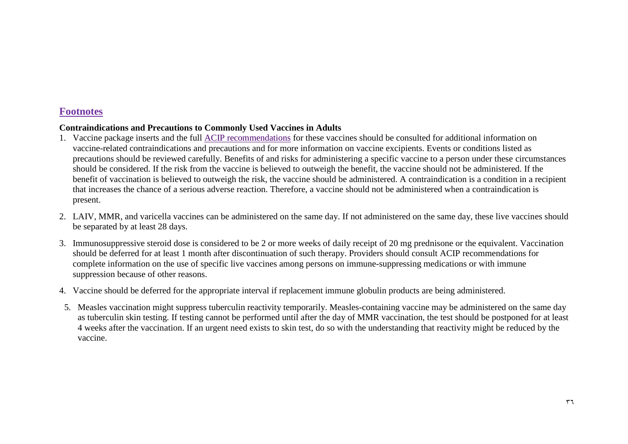### **Footnotes**

### **Contraindications and Precautions to Commonly Used Vaccines in Adults**

- 1. Vaccine package inserts and the full [ACIP recommendations](http://www.cdc.gov/vaccines/hcp/acip-recs/index.html) for these vaccines should be consulted for additional information on vaccine-related contraindications and precautions and for more information on vaccine excipients. Events or conditions listed as precautions should be reviewed carefully. Benefits of and risks for administering a specific vaccine to a person under these circumstances should be considered. If the risk from the vaccine is believed to outweigh the benefit, the vaccine should not be administered. If the benefit of vaccination is believed to outweigh the risk, the vaccine should be administered. A contraindication is a condition in a recipient that increases the chance of a serious adverse reaction. Therefore, a vaccine should not be administered when a contraindication is present.
- 2. LAIV, MMR, and varicella vaccines can be administered on the same day. If not administered on the same day, these live vaccines should be separated by at least 28 days.
- 3. Immunosuppressive steroid dose is considered to be 2 or more weeks of daily receipt of 20 mg prednisone or the equivalent. Vaccination should be deferred for at least 1 month after discontinuation of such therapy. Providers should consult ACIP recommendations for complete information on the use of specific live vaccines among persons on immune-suppressing medications or with immune suppression because of other reasons.
- 4. Vaccine should be deferred for the appropriate interval if replacement immune globulin products are being administered.
- 5. Measles vaccination might suppress tuberculin reactivity temporarily. Measles-containing vaccine may be administered on the same day as tuberculin skin testing. If testing cannot be performed until after the day of MMR vaccination, the test should be postponed for at least 4 weeks after the vaccination. If an urgent need exists to skin test, do so with the understanding that reactivity might be reduced by the vaccine.